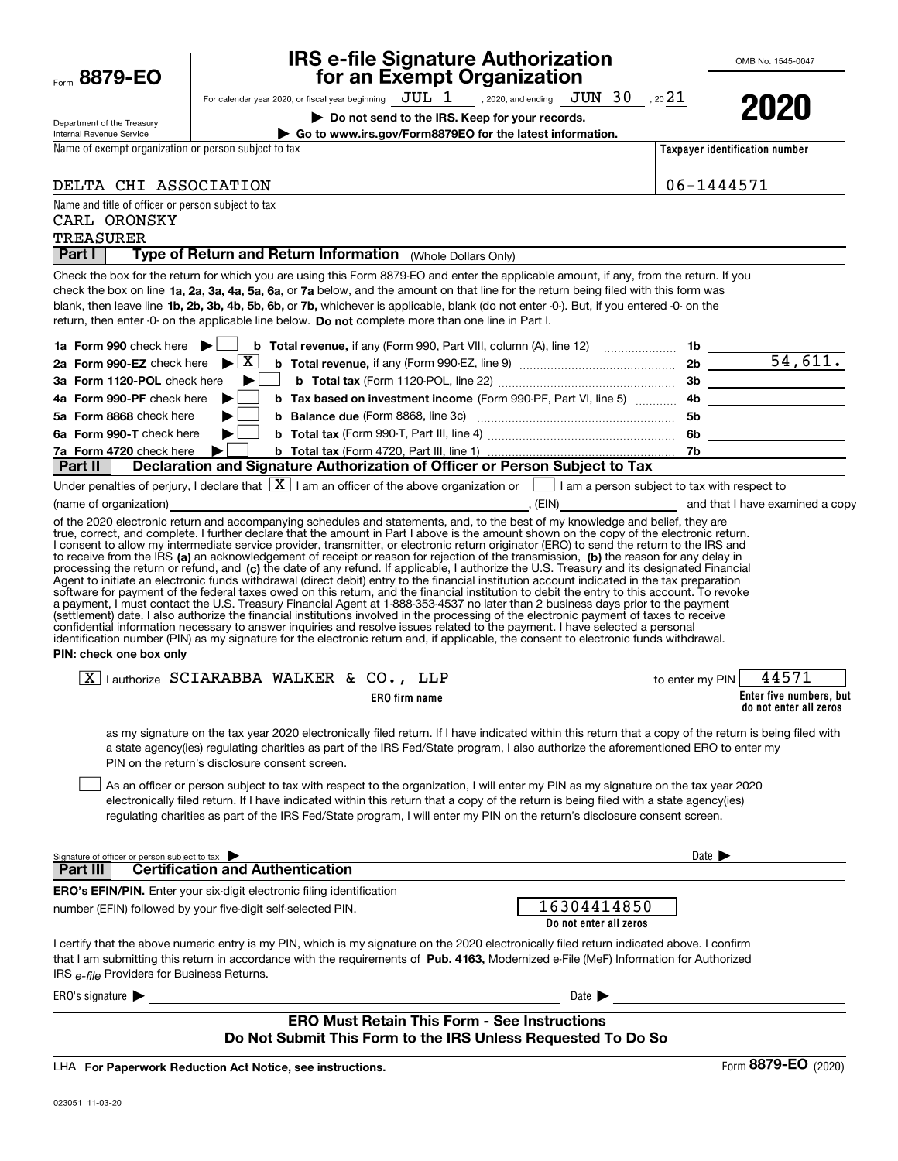| Form |  | 8879-1<br>F( |
|------|--|--------------|
|------|--|--------------|

# **IRS e-file Signature Authorization for an Exempt Organization**

OMB No. 1545-0047

| Department of the Treasury |  |  |
|----------------------------|--|--|
|                            |  |  |

For calendar year 2020, or fiscal year beginning  $\rm\,JUL~$   $1$   $\rm\,$  , 2020, and ending  $\rm\,JUN~$   $30$   $\rm\,$  , 20 $21$ 

**| Do not send to the IRS. Keep for your records.**



Department of the Treasury Internal Revenue Service

**| Go to www.irs.gov/Form8879EO for the latest information.**

Name of exempt organization or person subject to tax

Name and title of officer or person subject to tax

DELTA CHI ASSOCIATION

**Taxpayer identification number**

| 06 |  | 444571 |  |  |  |
|----|--|--------|--|--|--|
|    |  |        |  |  |  |

| CARL ORONSKY                                                                                                                                                                                                                                                                                                                                                                                                                                                                                                                                                                                                                                                                                                                                                                                                                                                                                                                                                                                                                                                                                                                                                                                                                                                                                                                                                                       |                                                   |
|------------------------------------------------------------------------------------------------------------------------------------------------------------------------------------------------------------------------------------------------------------------------------------------------------------------------------------------------------------------------------------------------------------------------------------------------------------------------------------------------------------------------------------------------------------------------------------------------------------------------------------------------------------------------------------------------------------------------------------------------------------------------------------------------------------------------------------------------------------------------------------------------------------------------------------------------------------------------------------------------------------------------------------------------------------------------------------------------------------------------------------------------------------------------------------------------------------------------------------------------------------------------------------------------------------------------------------------------------------------------------------|---------------------------------------------------|
| TREASURER                                                                                                                                                                                                                                                                                                                                                                                                                                                                                                                                                                                                                                                                                                                                                                                                                                                                                                                                                                                                                                                                                                                                                                                                                                                                                                                                                                          |                                                   |
| Type of Return and Return Information (Whole Dollars Only)<br>Part I                                                                                                                                                                                                                                                                                                                                                                                                                                                                                                                                                                                                                                                                                                                                                                                                                                                                                                                                                                                                                                                                                                                                                                                                                                                                                                               |                                                   |
| Check the box for the return for which you are using this Form 8879-EO and enter the applicable amount, if any, from the return. If you<br>check the box on line 1a, 2a, 3a, 4a, 5a, 6a, or 7a below, and the amount on that line for the return being filed with this form was<br>blank, then leave line 1b, 2b, 3b, 4b, 5b, 6b, or 7b, whichever is applicable, blank (do not enter -0-). But, if you entered -0- on the<br>return, then enter -0- on the applicable line below. Do not complete more than one line in Part I.                                                                                                                                                                                                                                                                                                                                                                                                                                                                                                                                                                                                                                                                                                                                                                                                                                                   |                                                   |
| 1a Form 990 check here $\blacktriangleright$                                                                                                                                                                                                                                                                                                                                                                                                                                                                                                                                                                                                                                                                                                                                                                                                                                                                                                                                                                                                                                                                                                                                                                                                                                                                                                                                       |                                                   |
| 2a Form 990-EZ check here $\triangleright$ $\mid$ X $\mid$                                                                                                                                                                                                                                                                                                                                                                                                                                                                                                                                                                                                                                                                                                                                                                                                                                                                                                                                                                                                                                                                                                                                                                                                                                                                                                                         |                                                   |
| 3a Form 1120-POL check here                                                                                                                                                                                                                                                                                                                                                                                                                                                                                                                                                                                                                                                                                                                                                                                                                                                                                                                                                                                                                                                                                                                                                                                                                                                                                                                                                        |                                                   |
| b Tax based on investment income (Form 990-PF, Part VI, line 5)<br>4a Form 990-PF check here                                                                                                                                                                                                                                                                                                                                                                                                                                                                                                                                                                                                                                                                                                                                                                                                                                                                                                                                                                                                                                                                                                                                                                                                                                                                                       |                                                   |
| 5a Form 8868 check here                                                                                                                                                                                                                                                                                                                                                                                                                                                                                                                                                                                                                                                                                                                                                                                                                                                                                                                                                                                                                                                                                                                                                                                                                                                                                                                                                            |                                                   |
| 6a Form 990-T check here                                                                                                                                                                                                                                                                                                                                                                                                                                                                                                                                                                                                                                                                                                                                                                                                                                                                                                                                                                                                                                                                                                                                                                                                                                                                                                                                                           |                                                   |
| D check here<br><b>Declaration and Signature Authorization of Officer or Person Subject to Tax</b><br>Declaration and Signature Authorization of Officer or Person Subject to Tax<br>7a Form 4720 check here                                                                                                                                                                                                                                                                                                                                                                                                                                                                                                                                                                                                                                                                                                                                                                                                                                                                                                                                                                                                                                                                                                                                                                       |                                                   |
| ∣ Part II                                                                                                                                                                                                                                                                                                                                                                                                                                                                                                                                                                                                                                                                                                                                                                                                                                                                                                                                                                                                                                                                                                                                                                                                                                                                                                                                                                          |                                                   |
| Under penalties of perjury, I declare that $\boxed{\mathbf{X}}$ I am an officer of the above organization or $\boxed{\phantom{\mathbf{X}}}$ I am a person subject to tax with respect to                                                                                                                                                                                                                                                                                                                                                                                                                                                                                                                                                                                                                                                                                                                                                                                                                                                                                                                                                                                                                                                                                                                                                                                           |                                                   |
| $\sim$ (EIN) and that I have examined a copy<br>(name of organization)                                                                                                                                                                                                                                                                                                                                                                                                                                                                                                                                                                                                                                                                                                                                                                                                                                                                                                                                                                                                                                                                                                                                                                                                                                                                                                             |                                                   |
| I consent to allow my intermediate service provider, transmitter, or electronic return originator (ERO) to send the return to the IRS and<br>to receive from the IRS (a) an acknowledgement of receipt or reason for rejection of the transmission, (b) the reason for any delay in<br>processing the return or refund, and (c) the date of any refund. If applicable, I authorize the U.S. Treasury and its designated Financial<br>Agent to initiate an electronic funds withdrawal (direct debit) entry to the financial institution account indicated in the tax preparation<br>software for payment of the federal taxes owed on this return, and the financial institution to debit the entry to this account. To revoke<br>a payment, I must contact the U.S. Treasury Financial Agent at 1-888-353-4537 no later than 2 business days prior to the payment<br>(settlement) date. I also authorize the financial institutions involved in the processing of the electronic payment of taxes to receive<br>confidential information necessary to answer inquiries and resolve issues related to the payment. I have selected a personal<br>identification number (PIN) as my signature for the electronic return and, if applicable, the consent to electronic funds withdrawal.<br>PIN: check one box only<br>$X$ lauthorize SCIARABBA WALKER & CO., LLP<br>to enter my PIN | 44571                                             |
| <b>ERO</b> firm name                                                                                                                                                                                                                                                                                                                                                                                                                                                                                                                                                                                                                                                                                                                                                                                                                                                                                                                                                                                                                                                                                                                                                                                                                                                                                                                                                               | Enter five numbers, but<br>do not enter all zeros |
| as my signature on the tax year 2020 electronically filed return. If I have indicated within this return that a copy of the return is being filed with<br>a state agency(ies) regulating charities as part of the IRS Fed/State program, I also authorize the aforementioned ERO to enter my<br>PIN on the return's disclosure consent screen.                                                                                                                                                                                                                                                                                                                                                                                                                                                                                                                                                                                                                                                                                                                                                                                                                                                                                                                                                                                                                                     |                                                   |
| As an officer or person subject to tax with respect to the organization, I will enter my PIN as my signature on the tax year 2020<br>electronically filed return. If I have indicated within this return that a copy of the return is being filed with a state agency(ies)<br>regulating charities as part of the IRS Fed/State program, I will enter my PIN on the return's disclosure consent screen.                                                                                                                                                                                                                                                                                                                                                                                                                                                                                                                                                                                                                                                                                                                                                                                                                                                                                                                                                                            |                                                   |
| Signature of officer or person subject to tax                                                                                                                                                                                                                                                                                                                                                                                                                                                                                                                                                                                                                                                                                                                                                                                                                                                                                                                                                                                                                                                                                                                                                                                                                                                                                                                                      | Date $\blacktriangleright$                        |
| <b>Certification and Authentication</b><br>Part III                                                                                                                                                                                                                                                                                                                                                                                                                                                                                                                                                                                                                                                                                                                                                                                                                                                                                                                                                                                                                                                                                                                                                                                                                                                                                                                                |                                                   |
| <b>ERO's EFIN/PIN.</b> Enter your six-digit electronic filing identification                                                                                                                                                                                                                                                                                                                                                                                                                                                                                                                                                                                                                                                                                                                                                                                                                                                                                                                                                                                                                                                                                                                                                                                                                                                                                                       |                                                   |
| 16304414850<br>number (EFIN) followed by your five-digit self-selected PIN.<br>Do not enter all zeros                                                                                                                                                                                                                                                                                                                                                                                                                                                                                                                                                                                                                                                                                                                                                                                                                                                                                                                                                                                                                                                                                                                                                                                                                                                                              |                                                   |
| I certify that the above numeric entry is my PIN, which is my signature on the 2020 electronically filed return indicated above. I confirm<br>that I am submitting this return in accordance with the requirements of Pub. 4163, Modernized e-File (MeF) Information for Authorized<br>IRS e-file Providers for Business Returns.                                                                                                                                                                                                                                                                                                                                                                                                                                                                                                                                                                                                                                                                                                                                                                                                                                                                                                                                                                                                                                                  |                                                   |
| ERO's signature                                                                                                                                                                                                                                                                                                                                                                                                                                                                                                                                                                                                                                                                                                                                                                                                                                                                                                                                                                                                                                                                                                                                                                                                                                                                                                                                                                    |                                                   |
|                                                                                                                                                                                                                                                                                                                                                                                                                                                                                                                                                                                                                                                                                                                                                                                                                                                                                                                                                                                                                                                                                                                                                                                                                                                                                                                                                                                    |                                                   |

# **ERO Must Retain This Form - See Instructions Do Not Submit This Form to the IRS Unless Requested To Do So**

LHA For Paperwork Reduction Act Notice, see instructions.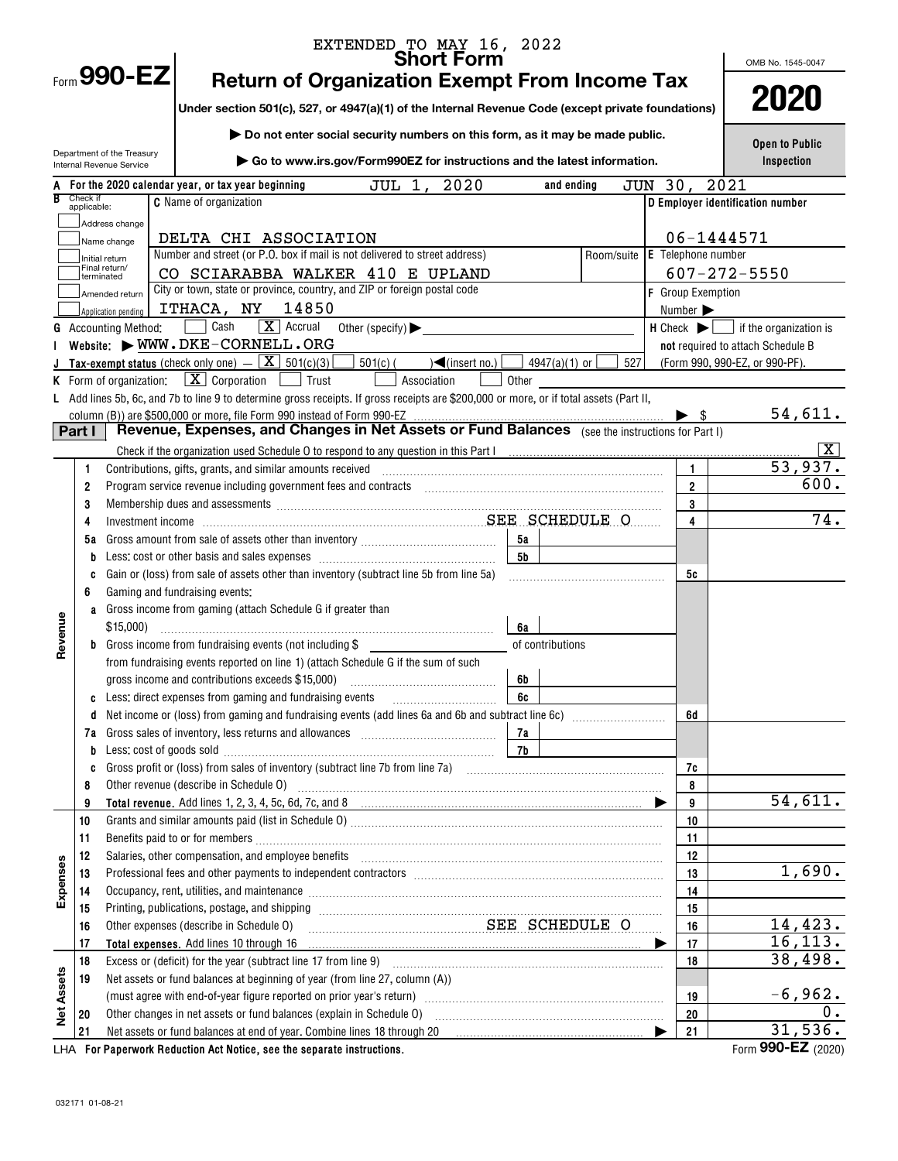|                   |             |                                               | EXTENDED TO MAY 16, 2022<br><b>Short Form</b>                                                                                                                                                                                                                                                                                                                                  |                |                               |                   |                          | OMB No. 1545-0047                                                     |
|-------------------|-------------|-----------------------------------------------|--------------------------------------------------------------------------------------------------------------------------------------------------------------------------------------------------------------------------------------------------------------------------------------------------------------------------------------------------------------------------------|----------------|-------------------------------|-------------------|--------------------------|-----------------------------------------------------------------------|
|                   |             | Form 990-EZ                                   | <b>Return of Organization Exempt From Income Tax</b>                                                                                                                                                                                                                                                                                                                           |                |                               |                   |                          |                                                                       |
|                   |             |                                               | Under section 501(c), 527, or 4947(a)(1) of the Internal Revenue Code (except private foundations)                                                                                                                                                                                                                                                                             |                |                               |                   |                          | 2020                                                                  |
|                   |             |                                               | Do not enter social security numbers on this form, as it may be made public.                                                                                                                                                                                                                                                                                                   |                |                               |                   |                          |                                                                       |
|                   |             | Department of the Treasury                    | Go to www.irs.gov/Form990EZ for instructions and the latest information.                                                                                                                                                                                                                                                                                                       |                |                               |                   |                          | <b>Open to Public</b><br>Inspection                                   |
|                   |             | Internal Revenue Service                      |                                                                                                                                                                                                                                                                                                                                                                                |                |                               |                   |                          |                                                                       |
|                   | Check if    |                                               | JUL 1, 2020<br>For the 2020 calendar year, or tax year beginning<br><b>C</b> Name of organization                                                                                                                                                                                                                                                                              |                | and ending                    | JUN 30,           |                          | 2021<br>D Employer identification number                              |
|                   | applicable: |                                               |                                                                                                                                                                                                                                                                                                                                                                                |                |                               |                   |                          |                                                                       |
|                   |             | Address change                                | DELTA CHI ASSOCIATION                                                                                                                                                                                                                                                                                                                                                          |                |                               |                   |                          | 06-1444571                                                            |
|                   |             | Name change                                   | Number and street (or P.O. box if mail is not delivered to street address)                                                                                                                                                                                                                                                                                                     |                | Room/suite E Telephone number |                   |                          |                                                                       |
|                   |             | Initial return<br>Final return/<br>terminated | CO SCIARABBA WALKER 410 E UPLAND                                                                                                                                                                                                                                                                                                                                               |                |                               |                   |                          | $607 - 272 - 5550$                                                    |
|                   |             | Amended return                                | City or town, state or province, country, and ZIP or foreign postal code                                                                                                                                                                                                                                                                                                       |                |                               | F Group Exemption |                          |                                                                       |
|                   |             | Application pending                           | 14850<br>ITHACA, NY                                                                                                                                                                                                                                                                                                                                                            |                |                               | Number >          |                          |                                                                       |
| G                 |             | <b>Accounting Method:</b>                     | $\boxed{\mathbf{X}}$ Accrual<br>Cash<br>Other (specify) $\blacktriangleright$                                                                                                                                                                                                                                                                                                  |                |                               |                   |                          | $H$ Check $\blacktriangleright$ $\blacksquare$ if the organization is |
|                   |             |                                               | Website: WWW.DKE-CORNELL.ORG                                                                                                                                                                                                                                                                                                                                                   |                |                               |                   |                          | not required to attach Schedule B                                     |
|                   |             |                                               | Tax-exempt status (check only one) $-\boxed{\mathbf{X}}$ 501(c)(3)<br>$501(c)$ (<br>$\left \bigtriangleup$ (insert no.)                                                                                                                                                                                                                                                        |                | $4947(a)(1)$ or<br>527        |                   |                          | (Form 990, 990-EZ, or 990-PF).                                        |
|                   |             | K Form of organization:                       | X Corporation<br>Trust<br>Association                                                                                                                                                                                                                                                                                                                                          | Other          |                               |                   |                          |                                                                       |
| L                 |             |                                               | Add lines 5b, 6c, and 7b to line 9 to determine gross receipts. If gross receipts are \$200,000 or more, or if total assets (Part II,                                                                                                                                                                                                                                          |                |                               |                   |                          |                                                                       |
|                   |             |                                               | column (B)) are \$500,000 or more, file Form 990 instead of Form 990-EZ                                                                                                                                                                                                                                                                                                        |                |                               |                   | $\blacktriangleright$ \$ | 54,611.                                                               |
|                   | Part I      |                                               | Revenue, Expenses, and Changes in Net Assets or Fund Balances (see the instructions for Part I)                                                                                                                                                                                                                                                                                |                |                               |                   |                          |                                                                       |
|                   |             |                                               |                                                                                                                                                                                                                                                                                                                                                                                |                |                               |                   |                          | X  <br>53,937.                                                        |
|                   | 1           |                                               | Contributions, gifts, grants, and similar amounts received                                                                                                                                                                                                                                                                                                                     |                |                               |                   | 1<br>$\overline{2}$      | 600.                                                                  |
|                   | 2<br>3      |                                               |                                                                                                                                                                                                                                                                                                                                                                                |                |                               |                   | 3                        |                                                                       |
|                   | 4           |                                               |                                                                                                                                                                                                                                                                                                                                                                                |                |                               |                   | 4                        | $\overline{74}$ .                                                     |
|                   | 5а          |                                               |                                                                                                                                                                                                                                                                                                                                                                                | 5а             |                               |                   |                          |                                                                       |
|                   | b           |                                               | Less: cost or other basis and sales expenses [111] [12] cost of the basis and sales expenses [11] [12] [12] [1                                                                                                                                                                                                                                                                 | 5 <sub>b</sub> |                               |                   |                          |                                                                       |
|                   | C           |                                               | Gain or (loss) from sale of assets other than inventory (subtract line 5b from line 5a)                                                                                                                                                                                                                                                                                        |                |                               |                   | 5c                       |                                                                       |
|                   | 6           |                                               | Gaming and fundraising events:                                                                                                                                                                                                                                                                                                                                                 |                |                               |                   |                          |                                                                       |
|                   | a           |                                               | Gross income from gaming (attach Schedule G if greater than                                                                                                                                                                                                                                                                                                                    |                |                               |                   |                          |                                                                       |
|                   |             | \$15,000                                      |                                                                                                                                                                                                                                                                                                                                                                                | 6a             |                               |                   |                          |                                                                       |
| Revenue           |             |                                               | <b>b</b> Gross income from fundraising events (not including $$$                                                                                                                                                                                                                                                                                                               |                | of contributions              |                   |                          |                                                                       |
|                   |             |                                               | from fundraising events reported on line 1) (attach Schedule G if the sum of such                                                                                                                                                                                                                                                                                              |                |                               |                   |                          |                                                                       |
|                   |             |                                               | gross income and contributions exceeds \$15,000)                                                                                                                                                                                                                                                                                                                               | 6b             |                               |                   |                          |                                                                       |
|                   | C           |                                               | Less: direct expenses from gaming and fundraising events                                                                                                                                                                                                                                                                                                                       | 6с             |                               |                   |                          |                                                                       |
|                   | d           |                                               |                                                                                                                                                                                                                                                                                                                                                                                |                |                               |                   | 6d                       |                                                                       |
|                   | 7a<br>b     | Less: cost of goods sold                      |                                                                                                                                                                                                                                                                                                                                                                                | 7а<br>7b       |                               |                   |                          |                                                                       |
|                   | C           |                                               |                                                                                                                                                                                                                                                                                                                                                                                |                |                               |                   | 7c                       |                                                                       |
|                   | 8           |                                               | Other revenue (describe in Schedule O)<br>$\begin{bmatrix} \begin{bmatrix} 0 & 0 & 0 & 0 \\ 0 & 0 & 0 & 0 \\ 0 & 0 & 0 & 0 \\ 0 & 0 & 0 & 0 \\ 0 & 0 & 0 & 0 \\ 0 & 0 & 0 & 0 \\ 0 & 0 & 0 & 0 \\ 0 & 0 & 0 & 0 & 0 \\ 0 & 0 & 0 & 0 & 0 \\ 0 & 0 & 0 & 0 & 0 \\ 0 & 0 & 0 & 0 & 0 \\ 0 & 0 & 0 & 0 & 0 \\ 0 & 0 & 0 & 0 & 0 & 0 \\ 0 & 0 & 0 & 0 & 0 & 0 \\ 0 & 0 & 0 & 0 & $ |                |                               |                   | 8                        |                                                                       |
|                   | 9           |                                               |                                                                                                                                                                                                                                                                                                                                                                                |                |                               |                   | 9                        | 54,611.                                                               |
|                   | 10          |                                               |                                                                                                                                                                                                                                                                                                                                                                                |                |                               |                   | 10                       |                                                                       |
|                   | 11          |                                               |                                                                                                                                                                                                                                                                                                                                                                                |                |                               |                   | 11                       |                                                                       |
|                   | 12          |                                               | Salaries, other compensation, and employee benefits [11] matter content to the compensation and employee benefits [11] matter compensation and employee benefits [11] matter compensation and the competition and employee ben                                                                                                                                                 |                |                               |                   | 12                       |                                                                       |
|                   | 13          |                                               |                                                                                                                                                                                                                                                                                                                                                                                |                |                               |                   | 13                       | 1,690.                                                                |
| Expenses          | 14          |                                               | Occupancy, rent, utilities, and maintenance manufactured and accuracy of the manufactured and manufactured and                                                                                                                                                                                                                                                                 |                |                               |                   | 14                       |                                                                       |
|                   | 15          |                                               |                                                                                                                                                                                                                                                                                                                                                                                |                |                               |                   | 15                       |                                                                       |
|                   | 16          |                                               | SEE SCHEDULE O<br>Other expenses (describe in Schedule O)                                                                                                                                                                                                                                                                                                                      |                |                               |                   | 16                       | 14, 423.<br>16, 113.                                                  |
|                   | 17          |                                               |                                                                                                                                                                                                                                                                                                                                                                                |                |                               |                   | 17                       | 38,498.                                                               |
|                   | 18<br>19    |                                               | Net assets or fund balances at beginning of year (from line 27, column (A))                                                                                                                                                                                                                                                                                                    |                |                               |                   | 18                       |                                                                       |
| <b>Net Assets</b> |             |                                               |                                                                                                                                                                                                                                                                                                                                                                                |                |                               |                   | 19                       | $-6,962.$                                                             |
|                   | 20          |                                               | Other changes in net assets or fund balances (explain in Schedule O) [11] [2000] [2000] [2000] [2000] [2000] [3000] [3000] [3000] [3000] [3000] [3000] [3000] [3000] [3000] [3000] [3000] [3000] [3000] [3000] [3000] [3000] [                                                                                                                                                 |                |                               |                   | 20                       | $\mathbf{0}$ .                                                        |
|                   | 21          |                                               | Net assets or fund balances at end of year. Combine lines 18 through 20                                                                                                                                                                                                                                                                                                        |                |                               |                   | 21                       | 31,536.                                                               |
|                   |             |                                               | LHA For Paperwork Reduction Act Notice, see the separate instructions.                                                                                                                                                                                                                                                                                                         |                |                               |                   |                          | Form 990-EZ (2020)                                                    |

**Form 990-EZ** (2020)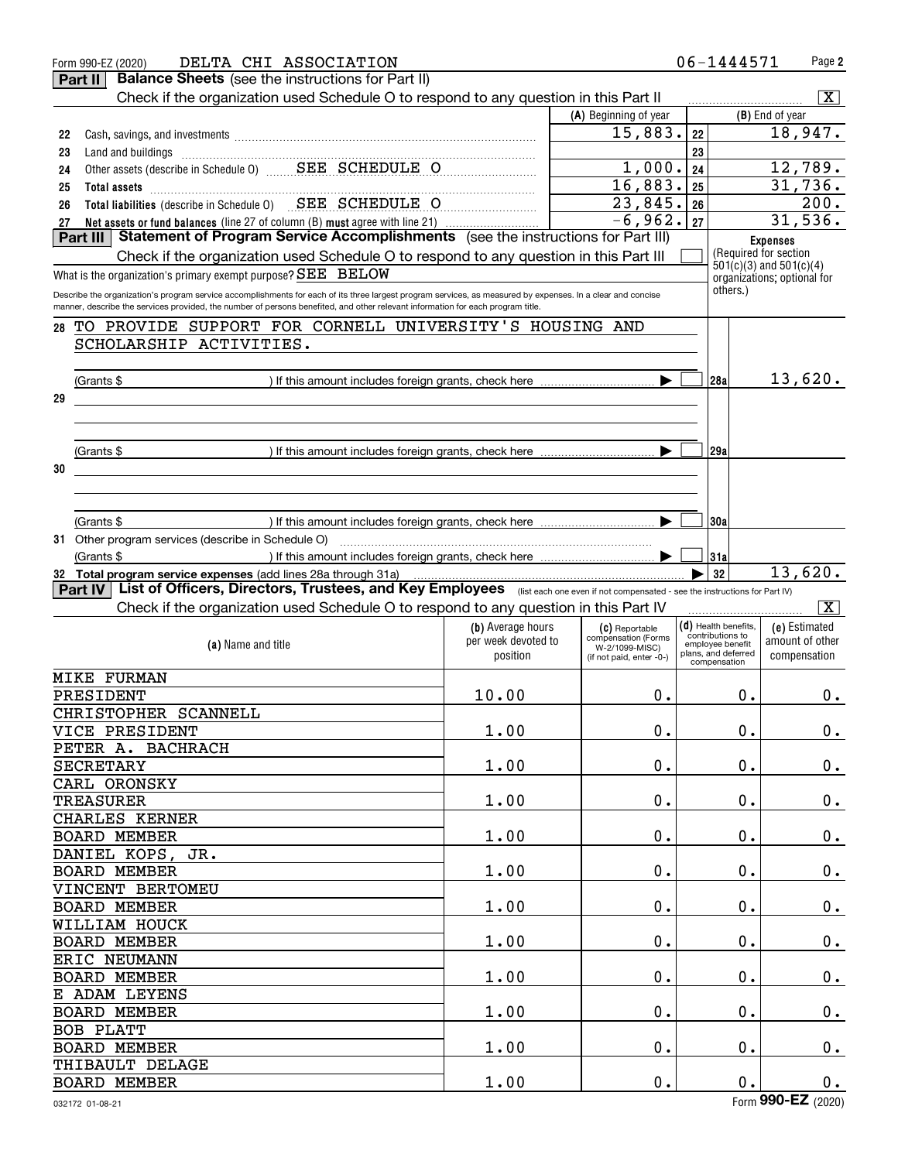|    | DELTA CHI ASSOCIATION<br>Form 990-EZ (2020)                                                                                                                 |                     |                                       | 06-1444571                               | Page 2                                                     |
|----|-------------------------------------------------------------------------------------------------------------------------------------------------------------|---------------------|---------------------------------------|------------------------------------------|------------------------------------------------------------|
|    | <b>Balance Sheets</b> (see the instructions for Part II)<br>Part II                                                                                         |                     |                                       |                                          |                                                            |
|    | Check if the organization used Schedule O to respond to any question in this Part II                                                                        |                     |                                       |                                          | X                                                          |
|    |                                                                                                                                                             |                     | (A) Beginning of year                 |                                          | (B) End of year                                            |
| 22 |                                                                                                                                                             |                     | 15,883.                               | 22                                       | 18,947.                                                    |
| 23 |                                                                                                                                                             |                     |                                       | 23                                       |                                                            |
| 24 |                                                                                                                                                             |                     | 1,000.                                | 24                                       | 12,789.                                                    |
| 25 |                                                                                                                                                             |                     | 16,883.                               | 25                                       | 31,736.                                                    |
| 26 | Total assets<br>Total liabilities (describe in Schedule 0)<br>SEE SCHEDULE O                                                                                |                     | 23,845.                               | 26                                       | 200.                                                       |
| 27 | Net assets or fund balances (line 27 of column (B) must agree with line 21)                                                                                 |                     | $-6,962.$                             | 27                                       | 31,536.                                                    |
|    | Part III   Statement of Program Service Accomplishments (see the instructions for Part III)                                                                 |                     |                                       |                                          | <b>Expenses</b>                                            |
|    | Check if the organization used Schedule O to respond to any question in this Part III                                                                       |                     |                                       |                                          | (Required for section                                      |
|    | What is the organization's primary exempt purpose? SEE BELOW                                                                                                |                     |                                       |                                          | $501(c)(3)$ and $501(c)(4)$<br>organizations; optional for |
|    | Describe the organization's program service accomplishments for each of its three largest program services, as measured by expenses. In a clear and concise |                     |                                       | others.)                                 |                                                            |
|    | manner, describe the services provided, the number of persons benefited, and other relevant information for each program title.                             |                     |                                       |                                          |                                                            |
| 28 | TO PROVIDE SUPPORT FOR CORNELL UNIVERSITY'S HOUSING AND                                                                                                     |                     |                                       |                                          |                                                            |
|    | SCHOLARSHIP ACTIVITIES.                                                                                                                                     |                     |                                       |                                          |                                                            |
|    |                                                                                                                                                             |                     |                                       |                                          |                                                            |
|    | (Grants \$                                                                                                                                                  |                     |                                       | 128a                                     | 13,620.                                                    |
| 29 |                                                                                                                                                             |                     |                                       |                                          |                                                            |
|    |                                                                                                                                                             |                     |                                       |                                          |                                                            |
|    |                                                                                                                                                             |                     |                                       |                                          |                                                            |
|    | (Grants \$                                                                                                                                                  |                     |                                       | 129a                                     |                                                            |
| 30 |                                                                                                                                                             |                     |                                       |                                          |                                                            |
|    |                                                                                                                                                             |                     |                                       |                                          |                                                            |
|    |                                                                                                                                                             |                     |                                       |                                          |                                                            |
|    | (Grants \$                                                                                                                                                  |                     |                                       | 130a                                     |                                                            |
|    |                                                                                                                                                             |                     |                                       |                                          |                                                            |
|    | (Grants \$                                                                                                                                                  |                     |                                       | 31a                                      |                                                            |
|    | 32 Total program service expenses (add lines 28a through 31a)                                                                                               |                     |                                       | 32                                       | 13,620.                                                    |
|    | List of Officers, Directors, Trustees, and Key Employees (list each one even if not compensated - see the instructions for Part IV)<br>Part IV              |                     |                                       |                                          |                                                            |
|    | Check if the organization used Schedule O to respond to any question in this Part IV                                                                        |                     |                                       |                                          | x                                                          |
|    |                                                                                                                                                             | (b) Average hours   | (C) Reportable                        | (d) Health benefits,<br>contributions to | (e) Estimated                                              |
|    | (a) Name and title                                                                                                                                          | per week devoted to | compensation (Forms<br>W-2/1099-MISC) | employee benefit<br>plans, and deferred  | amount of other                                            |
|    |                                                                                                                                                             | position            | (if not paid, enter -0-)              | compensation                             | compensation                                               |
|    | <b>MIKE FURMAN</b>                                                                                                                                          |                     |                                       |                                          |                                                            |
|    | PRESIDENT                                                                                                                                                   | 10.00               | $0$ .                                 | 0.                                       | 0.                                                         |
|    | CHRISTOPHER SCANNELL                                                                                                                                        |                     |                                       |                                          |                                                            |
|    | VICE PRESIDENT                                                                                                                                              | 1.00                | 0.                                    | $0$ .                                    | 0.                                                         |
|    | PETER A. BACHRACH                                                                                                                                           |                     |                                       |                                          |                                                            |
|    | <b>SECRETARY</b>                                                                                                                                            | 1.00                | $\mathbf 0$ .                         | 0.                                       | 0.                                                         |
|    | CARL ORONSKY                                                                                                                                                |                     |                                       |                                          |                                                            |
|    | <b>TREASURER</b>                                                                                                                                            | 1.00                | $\mathbf 0$ .                         | $0$ .                                    | 0.                                                         |
|    | CHARLES KERNER                                                                                                                                              |                     |                                       |                                          |                                                            |
|    | <b>BOARD MEMBER</b>                                                                                                                                         | 1.00                | $\mathbf 0$ .                         | $0$ .                                    | 0.                                                         |
|    | DANIEL KOPS,<br>JR.                                                                                                                                         |                     |                                       |                                          |                                                            |
|    | <b>BOARD MEMBER</b>                                                                                                                                         | 1.00                | $\mathbf 0$ .                         | $0$ .                                    | 0.                                                         |
|    | VINCENT BERTOMEU                                                                                                                                            |                     |                                       |                                          |                                                            |
|    | <b>BOARD MEMBER</b>                                                                                                                                         | 1.00                | $\mathbf 0$ .                         | $0$ .                                    | 0.                                                         |
|    | WILLIAM HOUCK                                                                                                                                               |                     |                                       |                                          |                                                            |
|    | <b>BOARD MEMBER</b>                                                                                                                                         | 1.00                | $\mathbf 0$ .                         | $0$ .                                    | 0.                                                         |
|    | ERIC NEUMANN                                                                                                                                                |                     |                                       |                                          |                                                            |
|    | <b>BOARD MEMBER</b>                                                                                                                                         | 1.00                | $\mathbf 0$ .                         | $0$ .                                    | 0.                                                         |
|    | E ADAM LEYENS                                                                                                                                               |                     |                                       |                                          |                                                            |
|    | <b>BOARD MEMBER</b>                                                                                                                                         | 1.00                | $\mathbf 0$ .                         | $0$ .                                    | 0.                                                         |
|    | BOB PLATT                                                                                                                                                   |                     |                                       |                                          |                                                            |
|    |                                                                                                                                                             |                     |                                       |                                          |                                                            |
|    | <b>BOARD MEMBER</b>                                                                                                                                         | 1.00                | $\mathbf 0$ .                         | $0$ .                                    | 0.                                                         |
|    | THIBAULT DELAGE<br><b>BOARD MEMBER</b>                                                                                                                      | 1.00                | $\mathbf 0$ .                         | $0$ .                                    | 0.                                                         |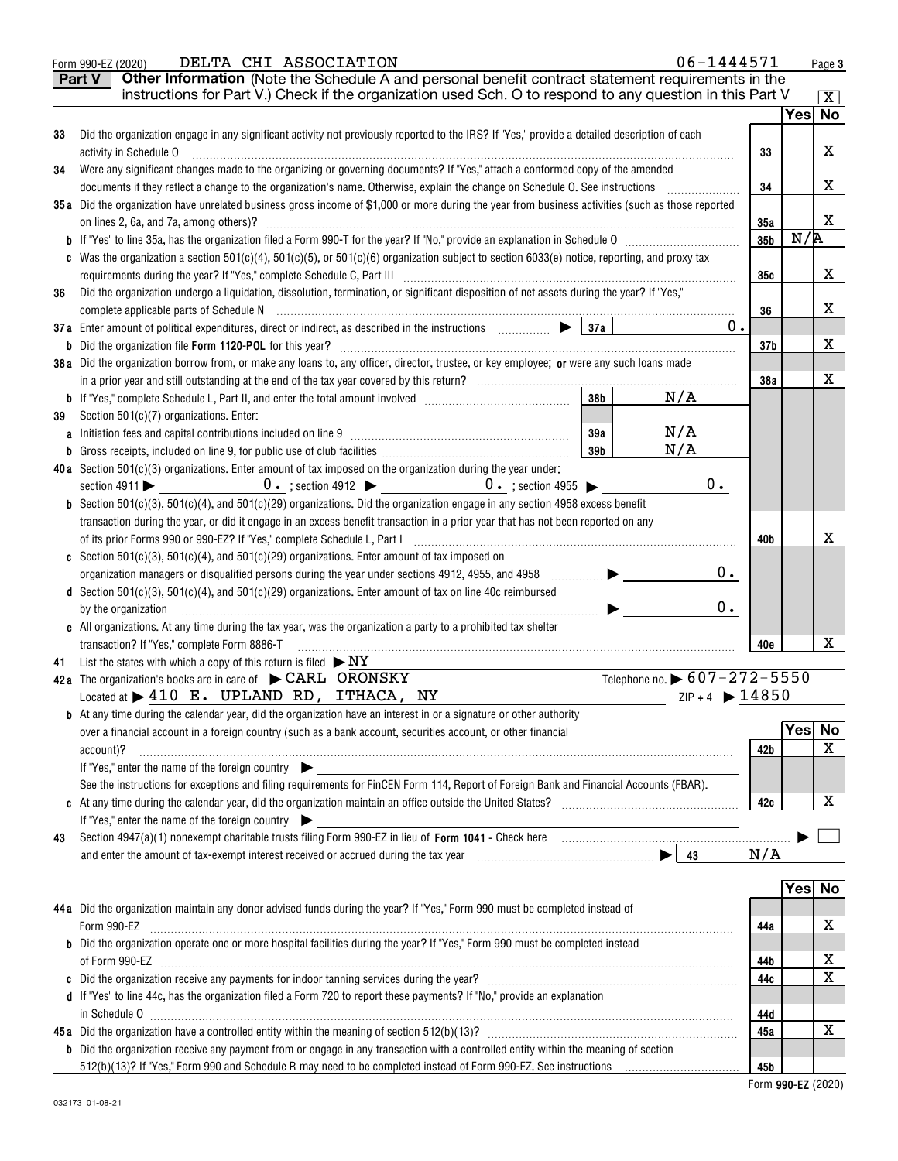|    | 06-1444571<br>DELTA CHI ASSOCIATION<br>Form 990-EZ (2020)                                                                                                                                                                                                                                                                                                                                                                                                      |                 |     | Page 3                  |
|----|----------------------------------------------------------------------------------------------------------------------------------------------------------------------------------------------------------------------------------------------------------------------------------------------------------------------------------------------------------------------------------------------------------------------------------------------------------------|-----------------|-----|-------------------------|
|    | Other Information (Note the Schedule A and personal benefit contract statement requirements in the<br><b>Part V</b>                                                                                                                                                                                                                                                                                                                                            |                 |     |                         |
|    | instructions for Part V.) Check if the organization used Sch. O to respond to any question in this Part V                                                                                                                                                                                                                                                                                                                                                      |                 |     | $\overline{\mathbf{X}}$ |
|    |                                                                                                                                                                                                                                                                                                                                                                                                                                                                |                 |     | Yes No                  |
| 33 | Did the organization engage in any significant activity not previously reported to the IRS? If "Yes," provide a detailed description of each                                                                                                                                                                                                                                                                                                                   |                 |     |                         |
|    | activity in Schedule O                                                                                                                                                                                                                                                                                                                                                                                                                                         | 33              |     | х                       |
| 34 | Were any significant changes made to the organizing or governing documents? If "Yes," attach a conformed copy of the amended                                                                                                                                                                                                                                                                                                                                   |                 |     |                         |
|    | documents if they reflect a change to the organization's name. Otherwise, explain the change on Schedule O. See instructions                                                                                                                                                                                                                                                                                                                                   | 34              |     | x                       |
|    | 35a Did the organization have unrelated business gross income of \$1,000 or more during the year from business activities (such as those reported                                                                                                                                                                                                                                                                                                              |                 |     |                         |
|    |                                                                                                                                                                                                                                                                                                                                                                                                                                                                | 35a             |     | x                       |
|    |                                                                                                                                                                                                                                                                                                                                                                                                                                                                | 35b             | N/R |                         |
| c  | Was the organization a section $501(c)(4)$ , $501(c)(5)$ , or $501(c)(6)$ organization subject to section 6033(e) notice, reporting, and proxy tax                                                                                                                                                                                                                                                                                                             |                 |     |                         |
|    |                                                                                                                                                                                                                                                                                                                                                                                                                                                                | 35c             |     | x                       |
| 36 | Did the organization undergo a liquidation, dissolution, termination, or significant disposition of net assets during the year? If "Yes,"                                                                                                                                                                                                                                                                                                                      |                 |     |                         |
|    |                                                                                                                                                                                                                                                                                                                                                                                                                                                                | 36              |     | x                       |
|    | 37a Enter amount of political expenditures, direct or indirect, as described in the instructions $\Box$ $\Box$ $\Box$<br>0.                                                                                                                                                                                                                                                                                                                                    |                 |     |                         |
|    | <b>b</b> Did the organization file Form 1120-POL for this year?                                                                                                                                                                                                                                                                                                                                                                                                | 37 <sub>b</sub> |     | x                       |
|    | 38a Did the organization borrow from, or make any loans to, any officer, director, trustee, or key employee; or were any such loans made                                                                                                                                                                                                                                                                                                                       |                 |     |                         |
|    |                                                                                                                                                                                                                                                                                                                                                                                                                                                                | 38a             |     | x                       |
|    | 38 <sub>b</sub><br>N/A                                                                                                                                                                                                                                                                                                                                                                                                                                         |                 |     |                         |
| 39 | Section 501(c)(7) organizations. Enter:                                                                                                                                                                                                                                                                                                                                                                                                                        |                 |     |                         |
| a  | N/A<br>39a                                                                                                                                                                                                                                                                                                                                                                                                                                                     |                 |     |                         |
| b  | N/A<br>39 <sub>b</sub>                                                                                                                                                                                                                                                                                                                                                                                                                                         |                 |     |                         |
|    | 40a Section 501(c)(3) organizations. Enter amount of tax imposed on the organization during the year under:                                                                                                                                                                                                                                                                                                                                                    |                 |     |                         |
|    | $0$ .<br>section 4911 $\triangleright$ 0. ; section 4912 $\triangleright$ 0. ; section 4955 $\triangleright$                                                                                                                                                                                                                                                                                                                                                   |                 |     |                         |
|    | <b>b</b> Section 501(c)(3), 501(c)(4), and 501(c)(29) organizations. Did the organization engage in any section 4958 excess benefit                                                                                                                                                                                                                                                                                                                            |                 |     |                         |
|    | transaction during the year, or did it engage in an excess benefit transaction in a prior year that has not been reported on any                                                                                                                                                                                                                                                                                                                               |                 |     |                         |
|    | of its prior Forms 990 or 990-EZ? If "Yes," complete Schedule L, Part I [1] [1] [1] [1] [1] [1] [1] [1] [1] [1                                                                                                                                                                                                                                                                                                                                                 | 40b             |     | x                       |
|    | c Section 501(c)(3), 501(c)(4), and 501(c)(29) organizations. Enter amount of tax imposed on                                                                                                                                                                                                                                                                                                                                                                   |                 |     |                         |
|    | 0.<br>$\begin{picture}(20,20) \put(0,0){\line(1,0){10}} \put(15,0){\line(1,0){10}} \put(15,0){\line(1,0){10}} \put(15,0){\line(1,0){10}} \put(15,0){\line(1,0){10}} \put(15,0){\line(1,0){10}} \put(15,0){\line(1,0){10}} \put(15,0){\line(1,0){10}} \put(15,0){\line(1,0){10}} \put(15,0){\line(1,0){10}} \put(15,0){\line(1,0){10}} \put(15,0){\line(1$<br>organization managers or disqualified persons during the year under sections 4912, 4955, and 4958 |                 |     |                         |
|    | d Section 501(c)(3), 501(c)(4), and 501(c)(29) organizations. Enter amount of tax on line 40c reimbursed                                                                                                                                                                                                                                                                                                                                                       |                 |     |                         |
|    | $0$ .<br>by the organization                                                                                                                                                                                                                                                                                                                                                                                                                                   |                 |     |                         |
|    | e All organizations. At any time during the tax year, was the organization a party to a prohibited tax shelter                                                                                                                                                                                                                                                                                                                                                 |                 |     |                         |
|    | transaction? If "Yes," complete Form 8886-T                                                                                                                                                                                                                                                                                                                                                                                                                    | 40e             |     | x                       |
| 41 | List the states with which a copy of this return is filed $\triangleright$ NY                                                                                                                                                                                                                                                                                                                                                                                  |                 |     |                         |
|    | Telephone no. $\triangleright$ 607-272-5550<br>42a The organization's books are in care of $\blacktriangleright$ CARL ORONSKY<br>$ZIP + 4$ $\triangleright$ 14850                                                                                                                                                                                                                                                                                              |                 |     |                         |
|    | Located at > 410 E. UPLAND RD, ITHACA, NY<br><b>b</b> At any time during the calendar year, did the organization have an interest in or a signature or other authority                                                                                                                                                                                                                                                                                         |                 |     |                         |
|    | over a financial account in a foreign country (such as a bank account, securities account, or other financial                                                                                                                                                                                                                                                                                                                                                  |                 |     | Yes No                  |
|    | account)?                                                                                                                                                                                                                                                                                                                                                                                                                                                      | 42b             |     | $\mathbf x$             |
|    | If "Yes," enter the name of the foreign country $\blacktriangleright$                                                                                                                                                                                                                                                                                                                                                                                          |                 |     |                         |
|    | See the instructions for exceptions and filing requirements for FinCEN Form 114, Report of Foreign Bank and Financial Accounts (FBAR).                                                                                                                                                                                                                                                                                                                         |                 |     |                         |
|    |                                                                                                                                                                                                                                                                                                                                                                                                                                                                | 42c             |     | x                       |
|    | If "Yes," enter the name of the foreign country                                                                                                                                                                                                                                                                                                                                                                                                                |                 |     |                         |
| 43 |                                                                                                                                                                                                                                                                                                                                                                                                                                                                |                 |     |                         |
|    |                                                                                                                                                                                                                                                                                                                                                                                                                                                                | N/A             |     |                         |
|    |                                                                                                                                                                                                                                                                                                                                                                                                                                                                |                 |     |                         |
|    |                                                                                                                                                                                                                                                                                                                                                                                                                                                                |                 |     | Yes No                  |
|    | 44a Did the organization maintain any donor advised funds during the year? If "Yes," Form 990 must be completed instead of                                                                                                                                                                                                                                                                                                                                     |                 |     |                         |
|    | Form 990-EZ                                                                                                                                                                                                                                                                                                                                                                                                                                                    | 44a             |     | х                       |
|    | b Did the organization operate one or more hospital facilities during the year? If "Yes," Form 990 must be completed instead                                                                                                                                                                                                                                                                                                                                   |                 |     |                         |
|    | of Form 990-EZ                                                                                                                                                                                                                                                                                                                                                                                                                                                 | 44b             |     | х                       |
|    |                                                                                                                                                                                                                                                                                                                                                                                                                                                                | 44c             |     | $\mathbf x$             |
|    | d If "Yes" to line 44c, has the organization filed a Form 720 to report these payments? If "No," provide an explanation                                                                                                                                                                                                                                                                                                                                        |                 |     |                         |
|    | in Schedule O                                                                                                                                                                                                                                                                                                                                                                                                                                                  | 44d             |     |                         |
|    |                                                                                                                                                                                                                                                                                                                                                                                                                                                                | 45a             |     | x                       |
|    | <b>b</b> Did the organization receive any payment from or engage in any transaction with a controlled entity within the meaning of section                                                                                                                                                                                                                                                                                                                     |                 |     |                         |
|    |                                                                                                                                                                                                                                                                                                                                                                                                                                                                | 45b             |     |                         |
|    |                                                                                                                                                                                                                                                                                                                                                                                                                                                                |                 |     |                         |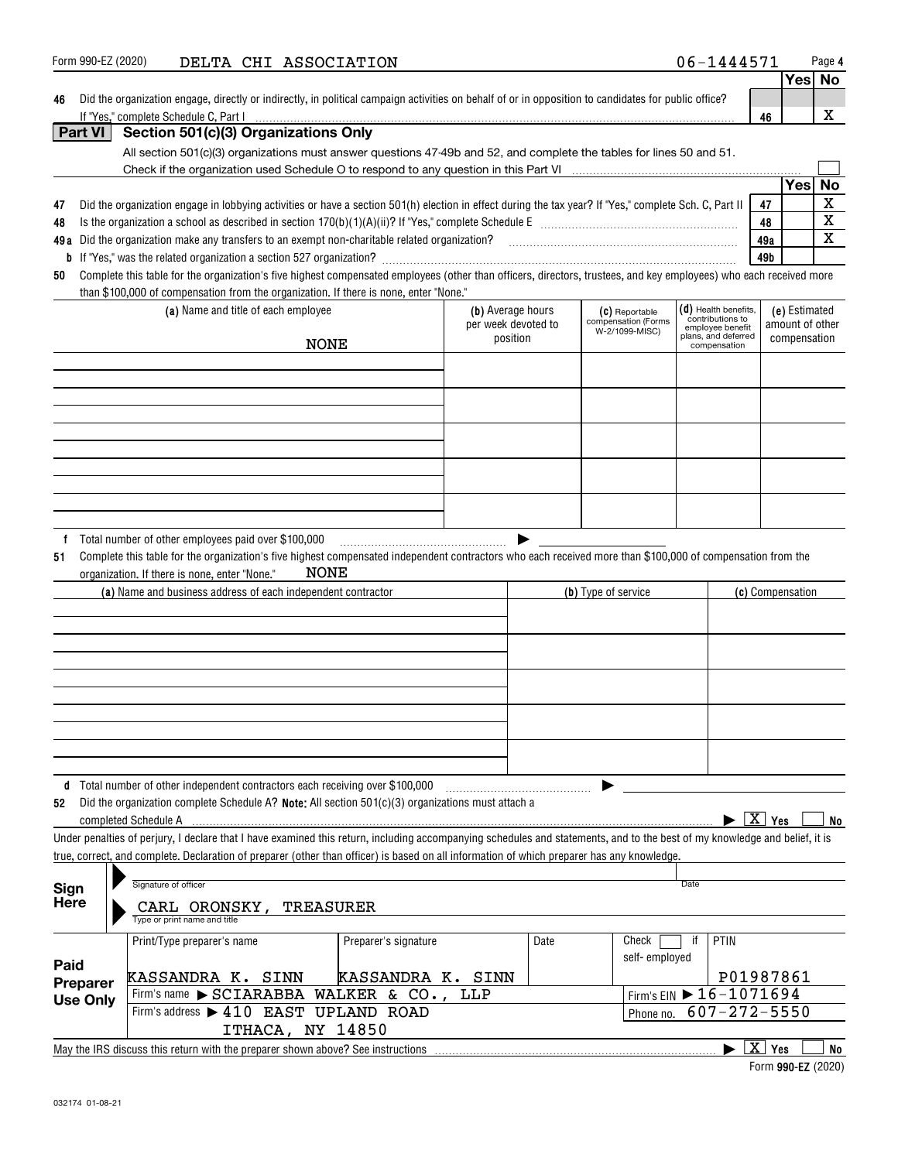| Form 990-EZ (2020) | DELTA CHI ASSOCIATION                                                                                                                                                                                             |                      |                     |      |                                       | 06-1444571                               |                    |                 | Page 4                  |
|--------------------|-------------------------------------------------------------------------------------------------------------------------------------------------------------------------------------------------------------------|----------------------|---------------------|------|---------------------------------------|------------------------------------------|--------------------|-----------------|-------------------------|
|                    |                                                                                                                                                                                                                   |                      |                     |      |                                       |                                          |                    |                 | Yes No                  |
| 46                 | Did the organization engage, directly or indirectly, in political campaign activities on behalf of or in opposition to candidates for public office?                                                              |                      |                     |      |                                       |                                          |                    |                 |                         |
|                    | If "Yes," complete Schedule C, Part I                                                                                                                                                                             |                      |                     |      |                                       |                                          | 46                 |                 | X                       |
| <b>Part VI</b>     | Section 501(c)(3) Organizations Only                                                                                                                                                                              |                      |                     |      |                                       |                                          |                    |                 |                         |
|                    | All section 501(c)(3) organizations must answer questions 47-49b and 52, and complete the tables for lines 50 and 51.                                                                                             |                      |                     |      |                                       |                                          |                    |                 |                         |
|                    |                                                                                                                                                                                                                   |                      |                     |      |                                       |                                          |                    |                 |                         |
|                    |                                                                                                                                                                                                                   |                      |                     |      |                                       |                                          |                    | Yes             | <b>No</b>               |
|                    | Did the organization engage in lobbying activities or have a section 501(h) election in effect during the tax year? If "Yes," complete Sch. C, Part II                                                            |                      |                     |      |                                       |                                          | 47                 |                 | $\mathbf X$             |
| 47                 |                                                                                                                                                                                                                   |                      |                     |      |                                       |                                          |                    |                 | $\overline{\textbf{X}}$ |
| 48                 |                                                                                                                                                                                                                   |                      |                     |      |                                       |                                          | 48                 |                 | $\overline{\mathbf{X}}$ |
|                    | 49a Did the organization make any transfers to an exempt non-charitable related organization?<br>2010 marrows material communication material material material material material material material material m    |                      |                     |      |                                       |                                          | 49a                |                 |                         |
|                    |                                                                                                                                                                                                                   |                      |                     |      |                                       |                                          | 49b                |                 |                         |
| 50                 | Complete this table for the organization's five highest compensated employees (other than officers, directors, trustees, and key employees) who each received more                                                |                      |                     |      |                                       |                                          |                    |                 |                         |
|                    | than \$100,000 of compensation from the organization. If there is none, enter "None."                                                                                                                             |                      |                     |      |                                       |                                          |                    |                 |                         |
|                    | (a) Name and title of each employee                                                                                                                                                                               |                      | (b) Average hours   |      | (C) Reportable<br>compensation (Forms | (d) Health benefits,<br>contributions to |                    | (e) Estimated   |                         |
|                    |                                                                                                                                                                                                                   |                      | per week devoted to |      | W-2/1099-MISC)                        | employee benefit<br>plans, and deferred  |                    | amount of other |                         |
|                    |                                                                                                                                                                                                                   | NONE                 | position            |      |                                       | compensation                             |                    | compensation    |                         |
|                    |                                                                                                                                                                                                                   |                      |                     |      |                                       |                                          |                    |                 |                         |
|                    |                                                                                                                                                                                                                   |                      |                     |      |                                       |                                          |                    |                 |                         |
|                    |                                                                                                                                                                                                                   |                      |                     |      |                                       |                                          |                    |                 |                         |
|                    |                                                                                                                                                                                                                   |                      |                     |      |                                       |                                          |                    |                 |                         |
|                    |                                                                                                                                                                                                                   |                      |                     |      |                                       |                                          |                    |                 |                         |
|                    |                                                                                                                                                                                                                   |                      |                     |      |                                       |                                          |                    |                 |                         |
|                    |                                                                                                                                                                                                                   |                      |                     |      |                                       |                                          |                    |                 |                         |
|                    |                                                                                                                                                                                                                   |                      |                     |      |                                       |                                          |                    |                 |                         |
|                    |                                                                                                                                                                                                                   |                      |                     |      |                                       |                                          |                    |                 |                         |
|                    |                                                                                                                                                                                                                   |                      |                     |      |                                       |                                          |                    |                 |                         |
|                    |                                                                                                                                                                                                                   |                      |                     |      |                                       |                                          |                    |                 |                         |
|                    | Total number of other employees paid over \$100,000<br>Complete this table for the organization's five highest compensated independent contractors who each received more than \$100,000 of compensation from the |                      |                     |      |                                       |                                          |                    |                 |                         |
| 51                 |                                                                                                                                                                                                                   | NONE                 |                     |      |                                       |                                          |                    |                 |                         |
|                    | organization. If there is none, enter "None."                                                                                                                                                                     |                      |                     |      |                                       |                                          |                    |                 |                         |
|                    | (a) Name and business address of each independent contractor                                                                                                                                                      |                      |                     |      | (b) Type of service                   |                                          | (c) Compensation   |                 |                         |
|                    |                                                                                                                                                                                                                   |                      |                     |      |                                       |                                          |                    |                 |                         |
|                    |                                                                                                                                                                                                                   |                      |                     |      |                                       |                                          |                    |                 |                         |
|                    |                                                                                                                                                                                                                   |                      |                     |      |                                       |                                          |                    |                 |                         |
|                    |                                                                                                                                                                                                                   |                      |                     |      |                                       |                                          |                    |                 |                         |
|                    |                                                                                                                                                                                                                   |                      |                     |      |                                       |                                          |                    |                 |                         |
|                    |                                                                                                                                                                                                                   |                      |                     |      |                                       |                                          |                    |                 |                         |
|                    |                                                                                                                                                                                                                   |                      |                     |      |                                       |                                          |                    |                 |                         |
|                    |                                                                                                                                                                                                                   |                      |                     |      |                                       |                                          |                    |                 |                         |
|                    |                                                                                                                                                                                                                   |                      |                     |      |                                       |                                          |                    |                 |                         |
|                    |                                                                                                                                                                                                                   |                      |                     |      |                                       |                                          |                    |                 |                         |
|                    | d Total number of other independent contractors each receiving over \$100,000                                                                                                                                     |                      |                     |      |                                       |                                          |                    |                 |                         |
| 52                 | Did the organization complete Schedule A? Note: All section 501(c)(3) organizations must attach a                                                                                                                 |                      |                     |      |                                       |                                          |                    |                 |                         |
|                    | completed Schedule A                                                                                                                                                                                              |                      |                     |      |                                       |                                          | $\overline{X}$ Yes |                 | No                      |
|                    | Under penalties of perjury, I declare that I have examined this return, including accompanying schedules and statements, and to the best of my knowledge and belief, it is                                        |                      |                     |      |                                       |                                          |                    |                 |                         |
|                    |                                                                                                                                                                                                                   |                      |                     |      |                                       |                                          |                    |                 |                         |
|                    | true, correct, and complete. Declaration of preparer (other than officer) is based on all information of which preparer has any knowledge.                                                                        |                      |                     |      |                                       |                                          |                    |                 |                         |
| Sign               | Signature of officer                                                                                                                                                                                              |                      |                     |      |                                       | Date                                     |                    |                 |                         |
| <b>Here</b>        |                                                                                                                                                                                                                   |                      |                     |      |                                       |                                          |                    |                 |                         |
|                    | CARL ORONSKY,<br>Type or print name and title                                                                                                                                                                     | TREASURER            |                     |      |                                       |                                          |                    |                 |                         |
|                    |                                                                                                                                                                                                                   |                      |                     |      |                                       |                                          |                    |                 |                         |
|                    | Print/Type preparer's name                                                                                                                                                                                        | Preparer's signature |                     | Date | Check                                 | if<br>PTIN                               |                    |                 |                         |
| Paid               |                                                                                                                                                                                                                   |                      |                     |      | self-employed                         |                                          |                    |                 |                         |
| Preparer           | KASSANDRA K. SINN                                                                                                                                                                                                 | KASSANDRA K. SINN    |                     |      |                                       | P01987861                                |                    |                 |                         |
| <b>Use Only</b>    | Firm's name > SCIARABBA WALKER & CO.,                                                                                                                                                                             |                      | LLP                 |      |                                       | Firm's EIN ▶ 16-1071694                  |                    |                 |                         |
|                    | Firm's address > 410 EAST UPLAND ROAD                                                                                                                                                                             |                      |                     |      | Phone no.                             | $607 - 272 - 5550$                       |                    |                 |                         |
|                    |                                                                                                                                                                                                                   | ITHACA, NY 14850     |                     |      |                                       |                                          |                    |                 |                         |
|                    | May the IRS discuss this return with the preparer shown above? See instructions                                                                                                                                   |                      |                     |      |                                       |                                          | $\overline{X}$ Yes |                 | No                      |

**<sup>990-</sup>EZ**  Form (2020)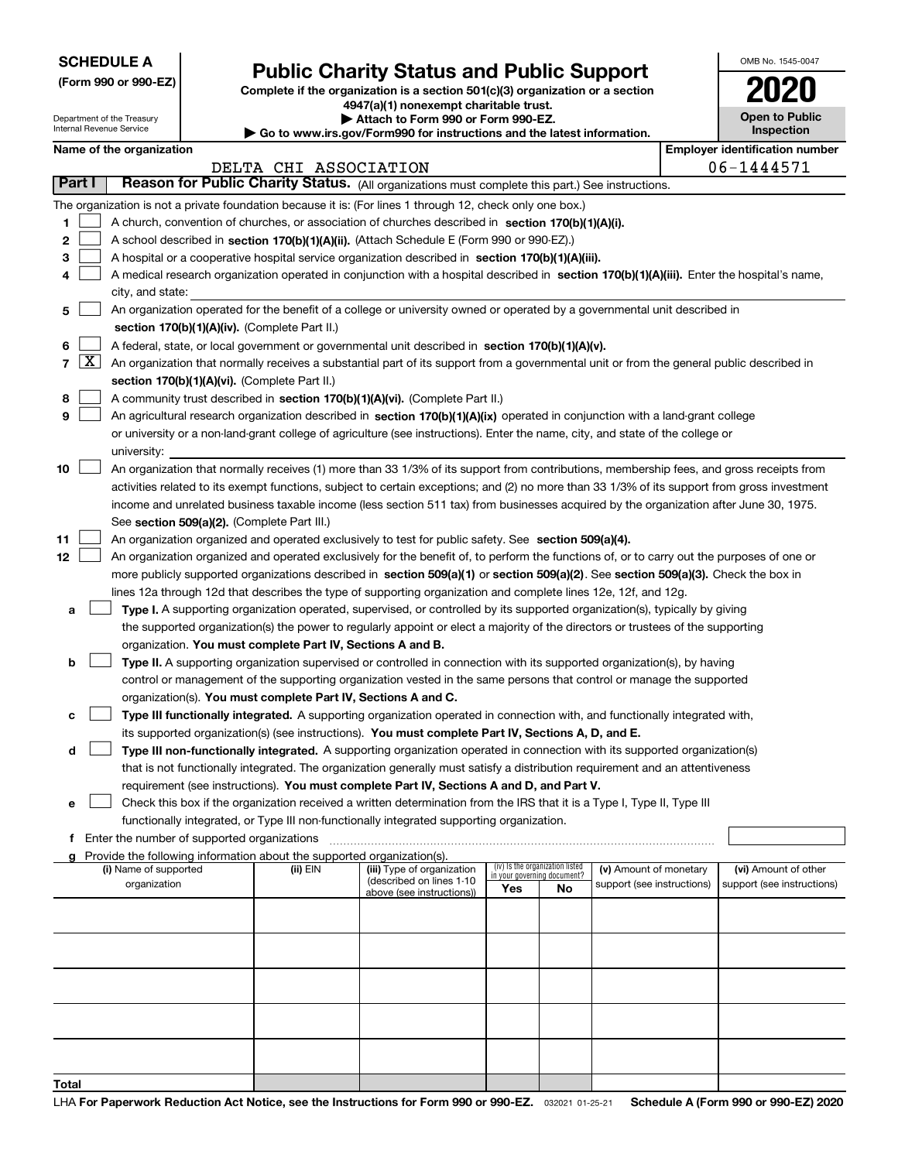| <b>SCHEDULE A</b> |
|-------------------|
|-------------------|

Department of the Treasury Internal Revenue Service

|  |  |  | (Form 990 or 990-EZ) |
|--|--|--|----------------------|
|--|--|--|----------------------|

# **Public Charity Status and Public Support**

**Complete if the organization is a section 501(c)(3) organization or a section 4947(a)(1) nonexempt charitable trust.**

**| Attach to Form 990 or Form 990-EZ.** 

**| Go to www.irs.gov/Form990 for instructions and the latest information.**

| OMB No. 1545-0047                   |
|-------------------------------------|
| 020                                 |
| <b>Open to Public</b><br>Inspection |

|  | Name of the organization |
|--|--------------------------|
|--|--------------------------|

|              | Name of the organization                                                                                                                                   |                       |                            |                                    |    |                            | <b>Employer identification number</b> |
|--------------|------------------------------------------------------------------------------------------------------------------------------------------------------------|-----------------------|----------------------------|------------------------------------|----|----------------------------|---------------------------------------|
|              |                                                                                                                                                            | DELTA CHI ASSOCIATION |                            |                                    |    |                            | 06-1444571                            |
| Part I       | Reason for Public Charity Status. (All organizations must complete this part.) See instructions.                                                           |                       |                            |                                    |    |                            |                                       |
|              | The organization is not a private foundation because it is: (For lines 1 through 12, check only one box.)                                                  |                       |                            |                                    |    |                            |                                       |
| 1            | A church, convention of churches, or association of churches described in section 170(b)(1)(A)(i).                                                         |                       |                            |                                    |    |                            |                                       |
| 2            | A school described in section 170(b)(1)(A)(ii). (Attach Schedule E (Form 990 or 990-EZ).)                                                                  |                       |                            |                                    |    |                            |                                       |
| 3            | A hospital or a cooperative hospital service organization described in section 170(b)(1)(A)(iii).                                                          |                       |                            |                                    |    |                            |                                       |
| 4            | A medical research organization operated in conjunction with a hospital described in section 170(b)(1)(A)(iii). Enter the hospital's name,                 |                       |                            |                                    |    |                            |                                       |
|              | city, and state:                                                                                                                                           |                       |                            |                                    |    |                            |                                       |
| 5            | An organization operated for the benefit of a college or university owned or operated by a governmental unit described in                                  |                       |                            |                                    |    |                            |                                       |
|              | section 170(b)(1)(A)(iv). (Complete Part II.)                                                                                                              |                       |                            |                                    |    |                            |                                       |
| 6            | A federal, state, or local government or governmental unit described in section 170(b)(1)(A)(v).                                                           |                       |                            |                                    |    |                            |                                       |
|              | $7 \overline{X}$ An organization that normally receives a substantial part of its support from a governmental unit or from the general public described in |                       |                            |                                    |    |                            |                                       |
|              | section 170(b)(1)(A)(vi). (Complete Part II.)                                                                                                              |                       |                            |                                    |    |                            |                                       |
| 8            | A community trust described in section 170(b)(1)(A)(vi). (Complete Part II.)                                                                               |                       |                            |                                    |    |                            |                                       |
| 9            | An agricultural research organization described in section 170(b)(1)(A)(ix) operated in conjunction with a land-grant college                              |                       |                            |                                    |    |                            |                                       |
|              | or university or a non-land-grant college of agriculture (see instructions). Enter the name, city, and state of the college or                             |                       |                            |                                    |    |                            |                                       |
|              | university:                                                                                                                                                |                       |                            |                                    |    |                            |                                       |
| 10           | An organization that normally receives (1) more than 33 1/3% of its support from contributions, membership fees, and gross receipts from                   |                       |                            |                                    |    |                            |                                       |
|              | activities related to its exempt functions, subject to certain exceptions; and (2) no more than 33 1/3% of its support from gross investment               |                       |                            |                                    |    |                            |                                       |
|              | income and unrelated business taxable income (less section 511 tax) from businesses acquired by the organization after June 30, 1975.                      |                       |                            |                                    |    |                            |                                       |
|              | See section 509(a)(2). (Complete Part III.)                                                                                                                |                       |                            |                                    |    |                            |                                       |
| 11           | An organization organized and operated exclusively to test for public safety. See section 509(a)(4).                                                       |                       |                            |                                    |    |                            |                                       |
| 12           | An organization organized and operated exclusively for the benefit of, to perform the functions of, or to carry out the purposes of one or                 |                       |                            |                                    |    |                            |                                       |
|              | more publicly supported organizations described in section 509(a)(1) or section 509(a)(2). See section 509(a)(3). Check the box in                         |                       |                            |                                    |    |                            |                                       |
|              | lines 12a through 12d that describes the type of supporting organization and complete lines 12e, 12f, and 12g.                                             |                       |                            |                                    |    |                            |                                       |
| а            | Type I. A supporting organization operated, supervised, or controlled by its supported organization(s), typically by giving                                |                       |                            |                                    |    |                            |                                       |
|              | the supported organization(s) the power to regularly appoint or elect a majority of the directors or trustees of the supporting                            |                       |                            |                                    |    |                            |                                       |
|              | organization. You must complete Part IV, Sections A and B.                                                                                                 |                       |                            |                                    |    |                            |                                       |
| b            | Type II. A supporting organization supervised or controlled in connection with its supported organization(s), by having                                    |                       |                            |                                    |    |                            |                                       |
|              | control or management of the supporting organization vested in the same persons that control or manage the supported                                       |                       |                            |                                    |    |                            |                                       |
|              | organization(s). You must complete Part IV, Sections A and C.                                                                                              |                       |                            |                                    |    |                            |                                       |
| с            | Type III functionally integrated. A supporting organization operated in connection with, and functionally integrated with,                                 |                       |                            |                                    |    |                            |                                       |
|              | its supported organization(s) (see instructions). You must complete Part IV, Sections A, D, and E.                                                         |                       |                            |                                    |    |                            |                                       |
| d            | Type III non-functionally integrated. A supporting organization operated in connection with its supported organization(s)                                  |                       |                            |                                    |    |                            |                                       |
|              | that is not functionally integrated. The organization generally must satisfy a distribution requirement and an attentiveness                               |                       |                            |                                    |    |                            |                                       |
|              | requirement (see instructions). You must complete Part IV, Sections A and D, and Part V.                                                                   |                       |                            |                                    |    |                            |                                       |
|              | Check this box if the organization received a written determination from the IRS that it is a Type I, Type II, Type III                                    |                       |                            |                                    |    |                            |                                       |
|              | functionally integrated, or Type III non-functionally integrated supporting organization.                                                                  |                       |                            |                                    |    |                            |                                       |
|              | f Enter the number of supported organizations                                                                                                              |                       |                            |                                    |    |                            |                                       |
|              | g Provide the following information about the supported organization(s).<br>(i) Name of supported                                                          | (ii) EIN              | (iii) Type of organization | (iv) Is the organization listed    |    | (v) Amount of monetary     | (vi) Amount of other                  |
|              | organization                                                                                                                                               |                       | (described on lines 1-10   | in your governing document?<br>Yes | No | support (see instructions) | support (see instructions)            |
|              |                                                                                                                                                            |                       | above (see instructions))  |                                    |    |                            |                                       |
|              |                                                                                                                                                            |                       |                            |                                    |    |                            |                                       |
|              |                                                                                                                                                            |                       |                            |                                    |    |                            |                                       |
|              |                                                                                                                                                            |                       |                            |                                    |    |                            |                                       |
|              |                                                                                                                                                            |                       |                            |                                    |    |                            |                                       |
|              |                                                                                                                                                            |                       |                            |                                    |    |                            |                                       |
|              |                                                                                                                                                            |                       |                            |                                    |    |                            |                                       |
|              |                                                                                                                                                            |                       |                            |                                    |    |                            |                                       |
|              |                                                                                                                                                            |                       |                            |                                    |    |                            |                                       |
|              |                                                                                                                                                            |                       |                            |                                    |    |                            |                                       |
| <b>Total</b> |                                                                                                                                                            |                       |                            |                                    |    |                            |                                       |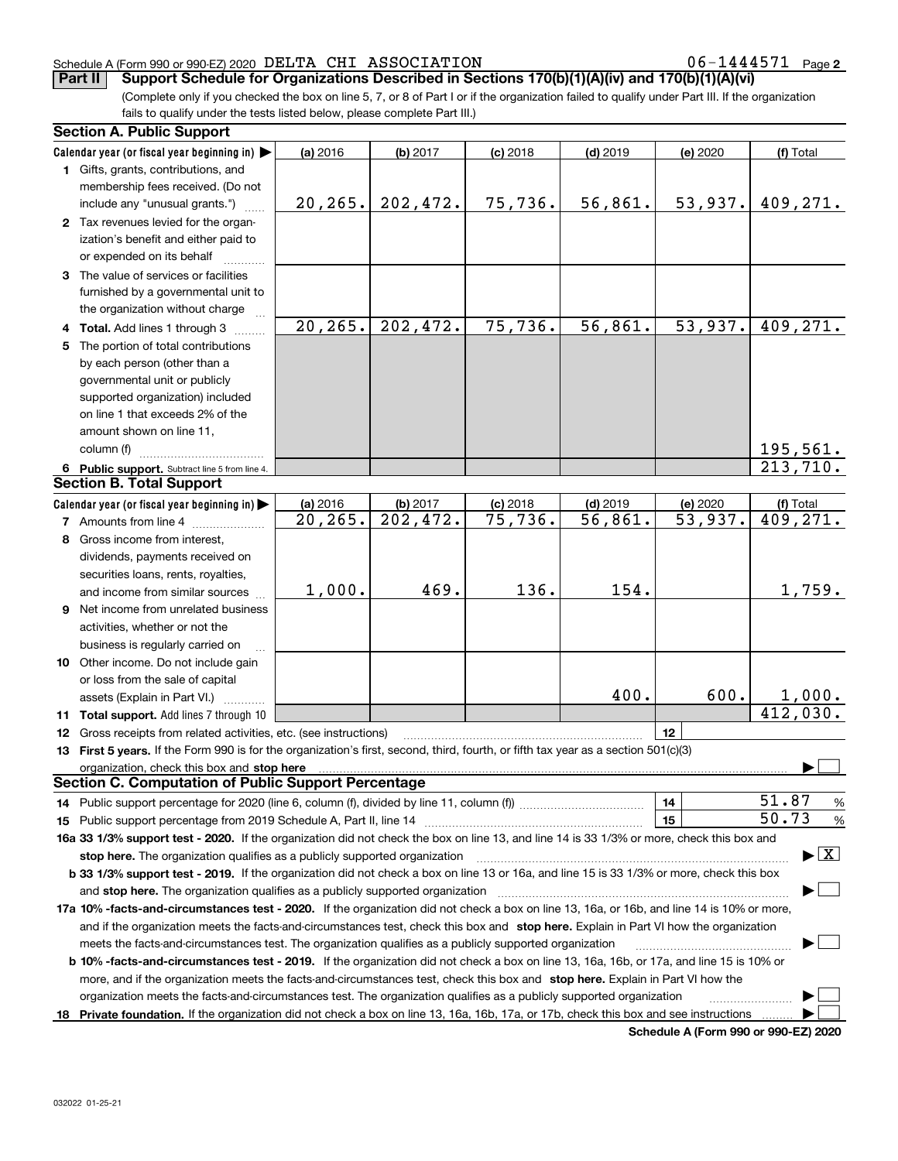### Schedule A (Form 990 or 990-EZ) 2020 Page DELTA CHI ASSOCIATION 06-1444571

**2**

(Complete only if you checked the box on line 5, 7, or 8 of Part I or if the organization failed to qualify under Part III. If the organization fails to qualify under the tests listed below, please complete Part III.) **Part II Support Schedule for Organizations Described in Sections 170(b)(1)(A)(iv) and 170(b)(1)(A)(vi)**

| <b>Section A. Public Support</b>                                                                                                               |            |          |                       |                        |                       |                                          |
|------------------------------------------------------------------------------------------------------------------------------------------------|------------|----------|-----------------------|------------------------|-----------------------|------------------------------------------|
| Calendar year (or fiscal year beginning in) $\blacktriangleright$                                                                              | (a) 2016   | (b) 2017 | $(c)$ 2018            | $(d)$ 2019             | (e) 2020              | (f) Total                                |
| <b>1</b> Gifts, grants, contributions, and                                                                                                     |            |          |                       |                        |                       |                                          |
| membership fees received. (Do not                                                                                                              |            |          |                       |                        |                       |                                          |
| include any "unusual grants.")                                                                                                                 | 20, 265.   | 202,472. | 75,736.               | 56,861.                | 53,937.               | 409,271.                                 |
| 2 Tax revenues levied for the organ-                                                                                                           |            |          |                       |                        |                       |                                          |
| ization's benefit and either paid to                                                                                                           |            |          |                       |                        |                       |                                          |
| or expended on its behalf                                                                                                                      |            |          |                       |                        |                       |                                          |
| 3 The value of services or facilities                                                                                                          |            |          |                       |                        |                       |                                          |
| furnished by a governmental unit to                                                                                                            |            |          |                       |                        |                       |                                          |
| the organization without charge                                                                                                                |            |          |                       |                        |                       |                                          |
| 4 Total. Add lines 1 through 3                                                                                                                 | 20, 265.   | 202,472. | 75,736.               | 56,861.                | 53,937.               | 409,271.                                 |
| 5 The portion of total contributions                                                                                                           |            |          |                       |                        |                       |                                          |
| by each person (other than a                                                                                                                   |            |          |                       |                        |                       |                                          |
| governmental unit or publicly                                                                                                                  |            |          |                       |                        |                       |                                          |
| supported organization) included                                                                                                               |            |          |                       |                        |                       |                                          |
| on line 1 that exceeds 2% of the                                                                                                               |            |          |                       |                        |                       |                                          |
| amount shown on line 11,                                                                                                                       |            |          |                       |                        |                       |                                          |
| column (f)                                                                                                                                     |            |          |                       |                        |                       | 195,561.                                 |
| 6 Public support. Subtract line 5 from line 4.                                                                                                 |            |          |                       |                        |                       | 213,710.                                 |
| <b>Section B. Total Support</b>                                                                                                                |            |          |                       |                        |                       |                                          |
| Calendar year (or fiscal year beginning in)                                                                                                    | $(a)$ 2016 | (b) 2017 | $(c)$ 2018            | $(d)$ 2019             | (e) 2020              | (f) Total                                |
| <b>7</b> Amounts from line 4                                                                                                                   | 20,265.    | 202,472. | $\overline{75,736}$ . | $\overline{56, 861}$ . | $\overline{53,937}$ . | 409,271.                                 |
| 8 Gross income from interest,                                                                                                                  |            |          |                       |                        |                       |                                          |
| dividends, payments received on                                                                                                                |            |          |                       |                        |                       |                                          |
| securities loans, rents, royalties,                                                                                                            |            |          |                       |                        |                       |                                          |
| and income from similar sources                                                                                                                | 1,000.     | 469.     | 136.                  | 154.                   |                       | 1,759.                                   |
| 9 Net income from unrelated business                                                                                                           |            |          |                       |                        |                       |                                          |
| activities, whether or not the                                                                                                                 |            |          |                       |                        |                       |                                          |
| business is regularly carried on                                                                                                               |            |          |                       |                        |                       |                                          |
| 10 Other income. Do not include gain                                                                                                           |            |          |                       |                        |                       |                                          |
| or loss from the sale of capital                                                                                                               |            |          |                       |                        |                       |                                          |
| assets (Explain in Part VI.)                                                                                                                   |            |          |                       | 400.                   | 600.                  | 1,000.                                   |
| 11 Total support. Add lines 7 through 10                                                                                                       |            |          |                       |                        |                       | 412,030.                                 |
| <b>12</b> Gross receipts from related activities, etc. (see instructions)                                                                      |            |          |                       |                        | 12                    |                                          |
| 13 First 5 years. If the Form 990 is for the organization's first, second, third, fourth, or fifth tax year as a section 501(c)(3)             |            |          |                       |                        |                       |                                          |
| organization, check this box and <b>stop here</b> www.communication.communication.communication.communication.com                              |            |          |                       |                        |                       |                                          |
| <b>Section C. Computation of Public Support Percentage</b>                                                                                     |            |          |                       |                        |                       |                                          |
|                                                                                                                                                |            |          |                       |                        | 14                    | 51.87<br>%                               |
|                                                                                                                                                |            |          |                       |                        | 15                    | 50.73<br>%                               |
| 16a 33 1/3% support test - 2020. If the organization did not check the box on line 13, and line 14 is 33 1/3% or more, check this box and      |            |          |                       |                        |                       |                                          |
| stop here. The organization qualifies as a publicly supported organization                                                                     |            |          |                       |                        |                       | $\blacktriangleright$ $\boxed{\text{X}}$ |
| b 33 1/3% support test - 2019. If the organization did not check a box on line 13 or 16a, and line 15 is 33 1/3% or more, check this box       |            |          |                       |                        |                       |                                          |
| and stop here. The organization qualifies as a publicly supported organization                                                                 |            |          |                       |                        |                       |                                          |
| 17a 10% -facts-and-circumstances test - 2020. If the organization did not check a box on line 13, 16a, or 16b, and line 14 is 10% or more,     |            |          |                       |                        |                       |                                          |
| and if the organization meets the facts-and-circumstances test, check this box and stop here. Explain in Part VI how the organization          |            |          |                       |                        |                       |                                          |
| meets the facts-and-circumstances test. The organization qualifies as a publicly supported organization                                        |            |          |                       |                        |                       |                                          |
| <b>b 10% -facts-and-circumstances test - 2019.</b> If the organization did not check a box on line 13, 16a, 16b, or 17a, and line 15 is 10% or |            |          |                       |                        |                       |                                          |
| more, and if the organization meets the facts-and-circumstances test, check this box and stop here. Explain in Part VI how the                 |            |          |                       |                        |                       |                                          |
| organization meets the facts-and-circumstances test. The organization qualifies as a publicly supported organization                           |            |          |                       |                        |                       |                                          |
| 18 Private foundation. If the organization did not check a box on line 13, 16a, 16b, 17a, or 17b, check this box and see instructions          |            |          |                       |                        |                       |                                          |

**Schedule A (Form 990 or 990-EZ) 2020**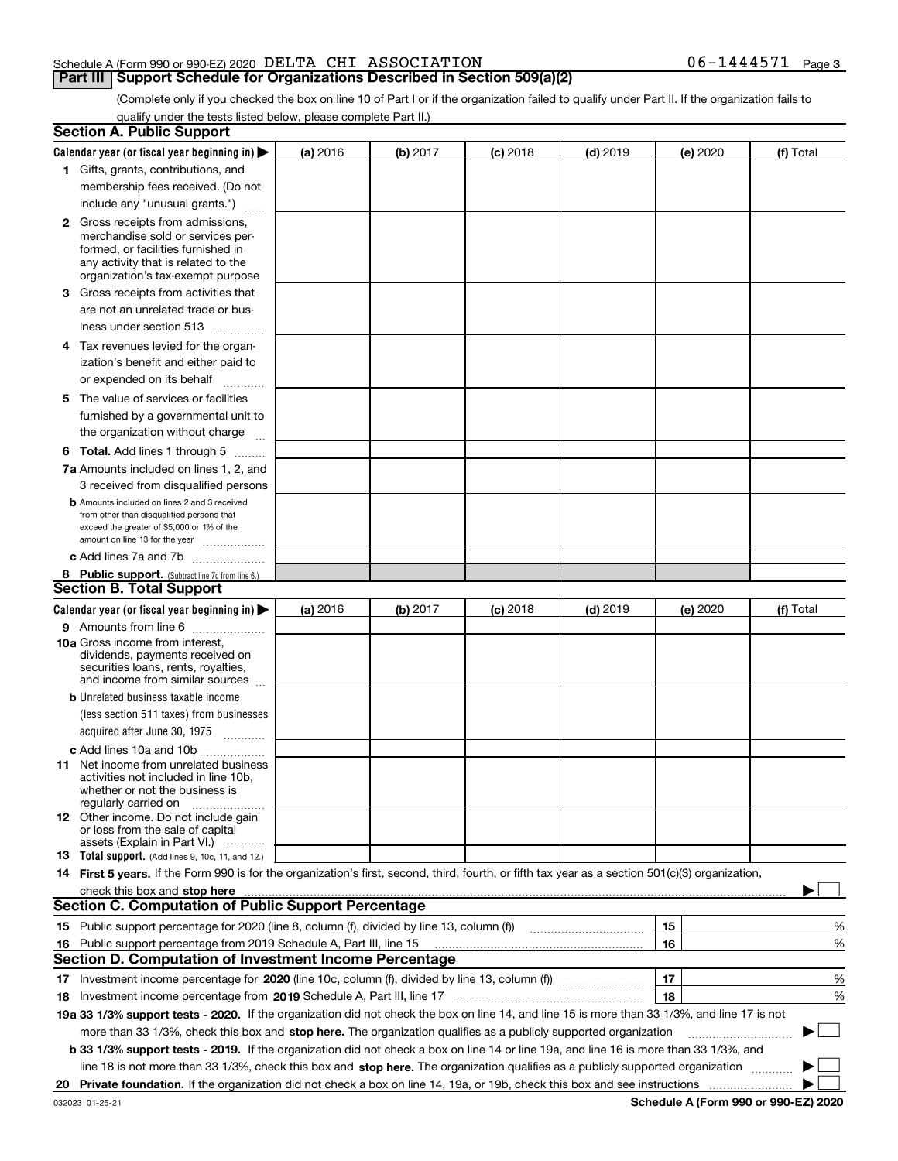## Schedule A (Form 990 or 990-EZ) 2020 Page DELTA CHI ASSOCIATION 06-1444571

# **Part III Support Schedule for Organizations Described in Section 509(a)(2)**

**3**

(Complete only if you checked the box on line 10 of Part I or if the organization failed to qualify under Part II. If the organization fails to qualify under the tests listed below, please complete Part II.)

|    | <b>Section A. Public Support</b>                                                                                                                                                                                               |          |          |            |            |          |             |
|----|--------------------------------------------------------------------------------------------------------------------------------------------------------------------------------------------------------------------------------|----------|----------|------------|------------|----------|-------------|
|    | Calendar year (or fiscal year beginning in) $\blacktriangleright$                                                                                                                                                              | (a) 2016 | (b) 2017 | $(c)$ 2018 | $(d)$ 2019 | (e) 2020 | (f) Total   |
|    | 1 Gifts, grants, contributions, and                                                                                                                                                                                            |          |          |            |            |          |             |
|    | membership fees received. (Do not                                                                                                                                                                                              |          |          |            |            |          |             |
|    | include any "unusual grants.")                                                                                                                                                                                                 |          |          |            |            |          |             |
|    | <b>2</b> Gross receipts from admissions,                                                                                                                                                                                       |          |          |            |            |          |             |
|    | merchandise sold or services per-                                                                                                                                                                                              |          |          |            |            |          |             |
|    | formed, or facilities furnished in                                                                                                                                                                                             |          |          |            |            |          |             |
|    | any activity that is related to the<br>organization's tax-exempt purpose                                                                                                                                                       |          |          |            |            |          |             |
|    | 3 Gross receipts from activities that                                                                                                                                                                                          |          |          |            |            |          |             |
|    | are not an unrelated trade or bus-                                                                                                                                                                                             |          |          |            |            |          |             |
|    | iness under section 513                                                                                                                                                                                                        |          |          |            |            |          |             |
|    | 4 Tax revenues levied for the organ-                                                                                                                                                                                           |          |          |            |            |          |             |
|    | ization's benefit and either paid to                                                                                                                                                                                           |          |          |            |            |          |             |
|    | or expended on its behalf<br>.                                                                                                                                                                                                 |          |          |            |            |          |             |
|    | 5 The value of services or facilities                                                                                                                                                                                          |          |          |            |            |          |             |
|    | furnished by a governmental unit to                                                                                                                                                                                            |          |          |            |            |          |             |
|    | the organization without charge                                                                                                                                                                                                |          |          |            |            |          |             |
|    | <b>6 Total.</b> Add lines 1 through 5                                                                                                                                                                                          |          |          |            |            |          |             |
|    | 7a Amounts included on lines 1, 2, and                                                                                                                                                                                         |          |          |            |            |          |             |
|    | 3 received from disqualified persons                                                                                                                                                                                           |          |          |            |            |          |             |
|    | <b>b</b> Amounts included on lines 2 and 3 received                                                                                                                                                                            |          |          |            |            |          |             |
|    | from other than disqualified persons that                                                                                                                                                                                      |          |          |            |            |          |             |
|    | exceed the greater of \$5,000 or 1% of the<br>amount on line 13 for the year                                                                                                                                                   |          |          |            |            |          |             |
|    | c Add lines 7a and 7b                                                                                                                                                                                                          |          |          |            |            |          |             |
|    | 8 Public support. (Subtract line 7c from line 6.)                                                                                                                                                                              |          |          |            |            |          |             |
|    | <b>Section B. Total Support</b>                                                                                                                                                                                                |          |          |            |            |          |             |
|    | Calendar year (or fiscal year beginning in)                                                                                                                                                                                    | (a) 2016 | (b) 2017 | $(c)$ 2018 | $(d)$ 2019 | (e) 2020 | (f) Total   |
|    | 9 Amounts from line 6                                                                                                                                                                                                          |          |          |            |            |          |             |
|    | <b>10a</b> Gross income from interest,                                                                                                                                                                                         |          |          |            |            |          |             |
|    | dividends, payments received on                                                                                                                                                                                                |          |          |            |            |          |             |
|    | securities loans, rents, royalties,<br>and income from similar sources                                                                                                                                                         |          |          |            |            |          |             |
|    | <b>b</b> Unrelated business taxable income                                                                                                                                                                                     |          |          |            |            |          |             |
|    | (less section 511 taxes) from businesses                                                                                                                                                                                       |          |          |            |            |          |             |
|    | acquired after June 30, 1975 [10001]                                                                                                                                                                                           |          |          |            |            |          |             |
|    | c Add lines 10a and 10b                                                                                                                                                                                                        |          |          |            |            |          |             |
|    | 11 Net income from unrelated business                                                                                                                                                                                          |          |          |            |            |          |             |
|    | activities not included in line 10b,                                                                                                                                                                                           |          |          |            |            |          |             |
|    | whether or not the business is<br>regularly carried on                                                                                                                                                                         |          |          |            |            |          |             |
|    | <b>12</b> Other income. Do not include gain                                                                                                                                                                                    |          |          |            |            |          |             |
|    | or loss from the sale of capital                                                                                                                                                                                               |          |          |            |            |          |             |
|    | assets (Explain in Part VI.)<br><b>13</b> Total support. (Add lines 9, 10c, 11, and 12.)                                                                                                                                       |          |          |            |            |          |             |
|    | 14 First 5 years. If the Form 990 is for the organization's first, second, third, fourth, or fifth tax year as a section 501(c)(3) organization,                                                                               |          |          |            |            |          |             |
|    | check this box and stop here manufactured and control the state of the state of the state of the state of the state of the state of the state of the state of the state of the state of the state of the state of the state of |          |          |            |            |          |             |
|    | <b>Section C. Computation of Public Support Percentage</b>                                                                                                                                                                     |          |          |            |            |          |             |
|    | 15 Public support percentage for 2020 (line 8, column (f), divided by line 13, column (f))                                                                                                                                     |          |          |            |            | 15       | %           |
|    | 16 Public support percentage from 2019 Schedule A, Part III, line 15                                                                                                                                                           |          |          |            |            | 16       | %           |
|    | <b>Section D. Computation of Investment Income Percentage</b>                                                                                                                                                                  |          |          |            |            |          |             |
|    | 17 Investment income percentage for 2020 (line 10c, column (f), divided by line 13, column (f))                                                                                                                                |          |          |            |            | 17       | %           |
|    | <b>18</b> Investment income percentage from <b>2019</b> Schedule A, Part III, line 17                                                                                                                                          |          |          |            |            | 18       | %           |
|    | 19a 33 1/3% support tests - 2020. If the organization did not check the box on line 14, and line 15 is more than 33 1/3%, and line 17 is not                                                                                   |          |          |            |            |          |             |
|    | more than 33 1/3%, check this box and stop here. The organization qualifies as a publicly supported organization                                                                                                               |          |          |            |            |          | $\sim$<br>▶ |
|    | b 33 1/3% support tests - 2019. If the organization did not check a box on line 14 or line 19a, and line 16 is more than 33 1/3%, and                                                                                          |          |          |            |            |          |             |
|    | line 18 is not more than 33 1/3%, check this box and stop here. The organization qualifies as a publicly supported organization                                                                                                |          |          |            |            |          |             |
| 20 |                                                                                                                                                                                                                                |          |          |            |            |          |             |
|    |                                                                                                                                                                                                                                |          |          |            |            |          |             |

**Schedule A (Form 990 or 990-EZ) 2020**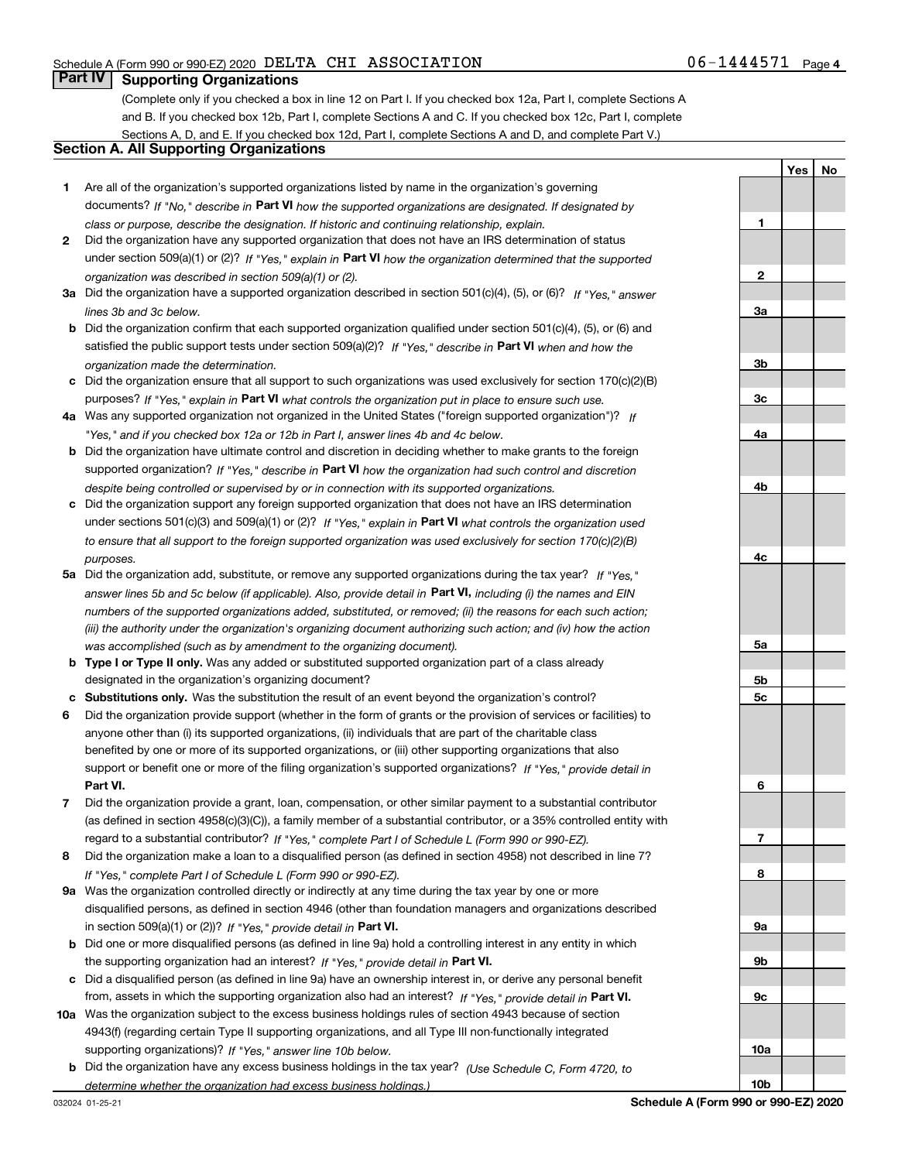**1**

**YesNo**

# **Part IV Supporting Organizations**

(Complete only if you checked a box in line 12 on Part I. If you checked box 12a, Part I, complete Sections A and B. If you checked box 12b, Part I, complete Sections A and C. If you checked box 12c, Part I, complete Sections A, D, and E. If you checked box 12d, Part I, complete Sections A and D, and complete Part V.)

# **Section A. All Supporting Organizations**

- **1** Are all of the organization's supported organizations listed by name in the organization's governing documents? If "No," describe in **Part VI** how the supported organizations are designated. If designated by *class or purpose, describe the designation. If historic and continuing relationship, explain.*
- **2** Did the organization have any supported organization that does not have an IRS determination of status under section 509(a)(1) or (2)? If "Yes," explain in Part VI how the organization determined that the supported *organization was described in section 509(a)(1) or (2).*
- **3a** Did the organization have a supported organization described in section 501(c)(4), (5), or (6)? If "Yes," answer *lines 3b and 3c below.*
- **b** Did the organization confirm that each supported organization qualified under section 501(c)(4), (5), or (6) and satisfied the public support tests under section 509(a)(2)? If "Yes," describe in **Part VI** when and how the *organization made the determination.*
- **c**Did the organization ensure that all support to such organizations was used exclusively for section 170(c)(2)(B) purposes? If "Yes," explain in **Part VI** what controls the organization put in place to ensure such use.
- **4a***If* Was any supported organization not organized in the United States ("foreign supported organization")? *"Yes," and if you checked box 12a or 12b in Part I, answer lines 4b and 4c below.*
- **b** Did the organization have ultimate control and discretion in deciding whether to make grants to the foreign supported organization? If "Yes," describe in **Part VI** how the organization had such control and discretion *despite being controlled or supervised by or in connection with its supported organizations.*
- **c** Did the organization support any foreign supported organization that does not have an IRS determination under sections 501(c)(3) and 509(a)(1) or (2)? If "Yes," explain in **Part VI** what controls the organization used *to ensure that all support to the foreign supported organization was used exclusively for section 170(c)(2)(B) purposes.*
- **5a***If "Yes,"* Did the organization add, substitute, or remove any supported organizations during the tax year? answer lines 5b and 5c below (if applicable). Also, provide detail in **Part VI,** including (i) the names and EIN *numbers of the supported organizations added, substituted, or removed; (ii) the reasons for each such action; (iii) the authority under the organization's organizing document authorizing such action; and (iv) how the action was accomplished (such as by amendment to the organizing document).*
- **b** Type I or Type II only. Was any added or substituted supported organization part of a class already designated in the organization's organizing document?
- **cSubstitutions only.**  Was the substitution the result of an event beyond the organization's control?
- **6** Did the organization provide support (whether in the form of grants or the provision of services or facilities) to **Part VI.** *If "Yes," provide detail in* support or benefit one or more of the filing organization's supported organizations? anyone other than (i) its supported organizations, (ii) individuals that are part of the charitable class benefited by one or more of its supported organizations, or (iii) other supporting organizations that also
- **7**Did the organization provide a grant, loan, compensation, or other similar payment to a substantial contributor *If "Yes," complete Part I of Schedule L (Form 990 or 990-EZ).* regard to a substantial contributor? (as defined in section 4958(c)(3)(C)), a family member of a substantial contributor, or a 35% controlled entity with
- **8** Did the organization make a loan to a disqualified person (as defined in section 4958) not described in line 7? *If "Yes," complete Part I of Schedule L (Form 990 or 990-EZ).*
- **9a** Was the organization controlled directly or indirectly at any time during the tax year by one or more in section 509(a)(1) or (2))? If "Yes," *provide detail in* <code>Part VI.</code> disqualified persons, as defined in section 4946 (other than foundation managers and organizations described
- **b** Did one or more disqualified persons (as defined in line 9a) hold a controlling interest in any entity in which the supporting organization had an interest? If "Yes," provide detail in P**art VI**.
- **c**Did a disqualified person (as defined in line 9a) have an ownership interest in, or derive any personal benefit from, assets in which the supporting organization also had an interest? If "Yes," provide detail in P**art VI.**
- **10a** Was the organization subject to the excess business holdings rules of section 4943 because of section supporting organizations)? If "Yes," answer line 10b below. 4943(f) (regarding certain Type II supporting organizations, and all Type III non-functionally integrated
- **b** Did the organization have any excess business holdings in the tax year? (Use Schedule C, Form 4720, to *determine whether the organization had excess business holdings.)*

**10b**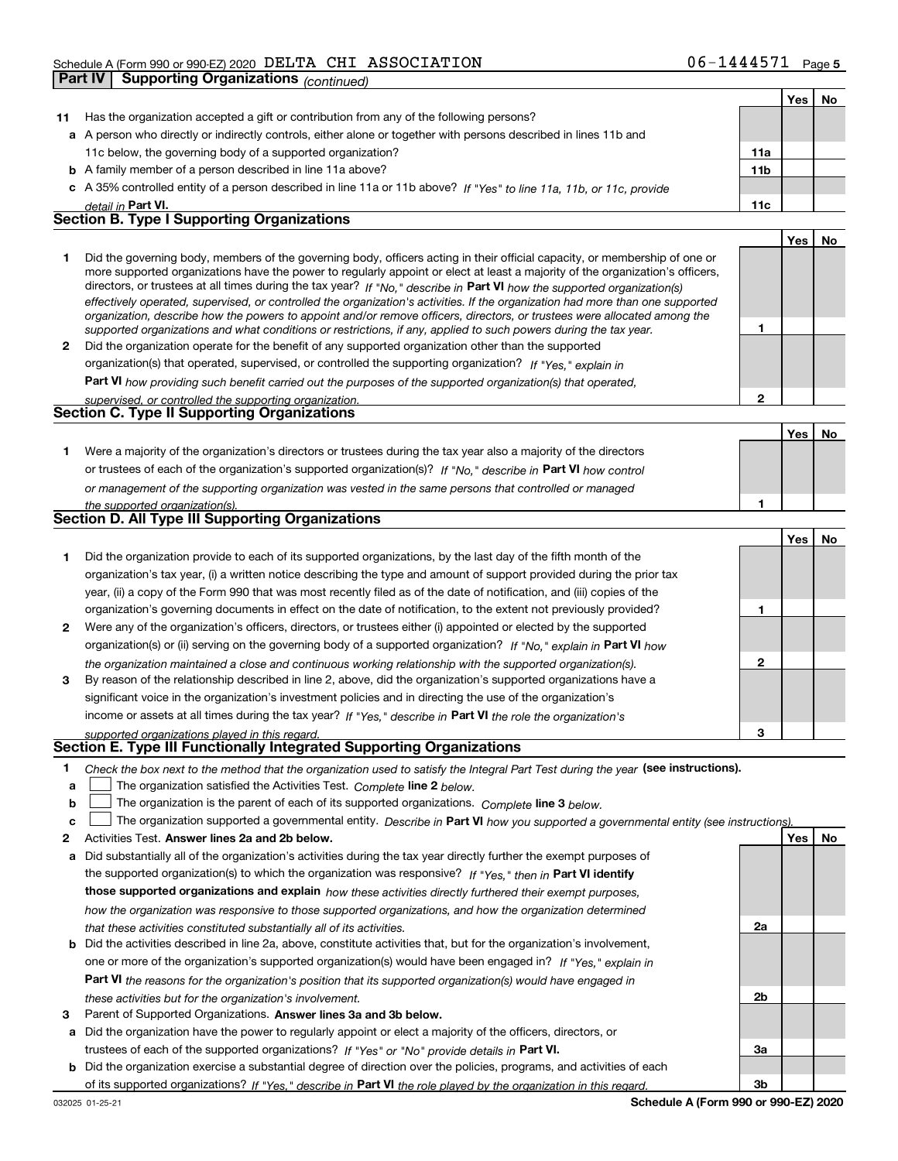|              | <b>Supporting Organizations (continued)</b><br>Part IV                                                                                                                                                                                                   |                 |            |    |
|--------------|----------------------------------------------------------------------------------------------------------------------------------------------------------------------------------------------------------------------------------------------------------|-----------------|------------|----|
|              |                                                                                                                                                                                                                                                          |                 | Yes        | No |
| 11           | Has the organization accepted a gift or contribution from any of the following persons?                                                                                                                                                                  |                 |            |    |
|              | a A person who directly or indirectly controls, either alone or together with persons described in lines 11b and                                                                                                                                         |                 |            |    |
|              | 11c below, the governing body of a supported organization?                                                                                                                                                                                               | 11a             |            |    |
|              | <b>b</b> A family member of a person described in line 11a above?                                                                                                                                                                                        | 11 <sub>b</sub> |            |    |
|              | c A 35% controlled entity of a person described in line 11a or 11b above? If "Yes" to line 11a, 11b, or 11c, provide                                                                                                                                     |                 |            |    |
|              | detail in Part VI.                                                                                                                                                                                                                                       | 11c             |            |    |
|              | <b>Section B. Type I Supporting Organizations</b>                                                                                                                                                                                                        |                 |            |    |
|              |                                                                                                                                                                                                                                                          |                 | <b>Yes</b> | No |
| 1            | Did the governing body, members of the governing body, officers acting in their official capacity, or membership of one or                                                                                                                               |                 |            |    |
|              | more supported organizations have the power to regularly appoint or elect at least a majority of the organization's officers,<br>directors, or trustees at all times during the tax year? If "No," describe in Part VI how the supported organization(s) |                 |            |    |
|              | effectively operated, supervised, or controlled the organization's activities. If the organization had more than one supported                                                                                                                           |                 |            |    |
|              | organization, describe how the powers to appoint and/or remove officers, directors, or trustees were allocated among the                                                                                                                                 |                 |            |    |
|              | supported organizations and what conditions or restrictions, if any, applied to such powers during the tax year.                                                                                                                                         | 1               |            |    |
| 2            | Did the organization operate for the benefit of any supported organization other than the supported                                                                                                                                                      |                 |            |    |
|              | organization(s) that operated, supervised, or controlled the supporting organization? If "Yes," explain in                                                                                                                                               |                 |            |    |
|              | Part VI how providing such benefit carried out the purposes of the supported organization(s) that operated,                                                                                                                                              |                 |            |    |
|              | supervised, or controlled the supporting organization.                                                                                                                                                                                                   | 2               |            |    |
|              | Section C. Type II Supporting Organizations                                                                                                                                                                                                              |                 |            |    |
|              |                                                                                                                                                                                                                                                          |                 | Yes        | No |
| 1.           | Were a majority of the organization's directors or trustees during the tax year also a majority of the directors                                                                                                                                         |                 |            |    |
|              | or trustees of each of the organization's supported organization(s)? If "No," describe in Part VI how control                                                                                                                                            |                 |            |    |
|              | or management of the supporting organization was vested in the same persons that controlled or managed                                                                                                                                                   |                 |            |    |
|              | the supported organization(s).<br><b>Section D. All Type III Supporting Organizations</b>                                                                                                                                                                | 1               |            |    |
|              |                                                                                                                                                                                                                                                          |                 |            |    |
|              |                                                                                                                                                                                                                                                          |                 | Yes        | No |
| 1.           | Did the organization provide to each of its supported organizations, by the last day of the fifth month of the                                                                                                                                           |                 |            |    |
|              | organization's tax year, (i) a written notice describing the type and amount of support provided during the prior tax                                                                                                                                    |                 |            |    |
|              | year, (ii) a copy of the Form 990 that was most recently filed as of the date of notification, and (iii) copies of the                                                                                                                                   |                 |            |    |
|              | organization's governing documents in effect on the date of notification, to the extent not previously provided?                                                                                                                                         | 1               |            |    |
| $\mathbf{2}$ | Were any of the organization's officers, directors, or trustees either (i) appointed or elected by the supported                                                                                                                                         |                 |            |    |
|              | organization(s) or (ii) serving on the governing body of a supported organization? If "No," explain in Part VI how                                                                                                                                       |                 |            |    |
|              | the organization maintained a close and continuous working relationship with the supported organization(s).                                                                                                                                              | 2               |            |    |
| 3            | By reason of the relationship described in line 2, above, did the organization's supported organizations have a                                                                                                                                          |                 |            |    |
|              | significant voice in the organization's investment policies and in directing the use of the organization's                                                                                                                                               |                 |            |    |
|              | income or assets at all times during the tax year? If "Yes," describe in Part VI the role the organization's                                                                                                                                             |                 |            |    |
|              | supported organizations played in this regard.                                                                                                                                                                                                           | 3               |            |    |
|              | Section E. Type III Functionally Integrated Supporting Organizations                                                                                                                                                                                     |                 |            |    |
| 1.           | Check the box next to the method that the organization used to satisfy the Integral Part Test during the year (see instructions).                                                                                                                        |                 |            |    |
| a            | The organization satisfied the Activities Test. Complete line 2 below.                                                                                                                                                                                   |                 |            |    |
| b            | The organization is the parent of each of its supported organizations. Complete line 3 below.                                                                                                                                                            |                 |            |    |
| c            | The organization supported a governmental entity. Describe in Part VI how you supported a governmental entity (see instructions)                                                                                                                         |                 |            |    |

- **2Answer lines 2a and 2b below. Yes No** Activities Test.
- **a** Did substantially all of the organization's activities during the tax year directly further the exempt purposes of **b** Did the activities described in line 2a, above, constitute activities that, but for the organization's involvement, the supported organization(s) to which the organization was responsive? If "Yes," then in **Part VI identify those supported organizations and explain**  *how these activities directly furthered their exempt purposes, how the organization was responsive to those supported organizations, and how the organization determined that these activities constituted substantially all of its activities.*
- **Part VI**  *the reasons for the organization's position that its supported organization(s) would have engaged in* one or more of the organization's supported organization(s) would have been engaged in? If "Yes," e*xplain in these activities but for the organization's involvement.*
- **3** Parent of Supported Organizations. Answer lines 3a and 3b below.
- **a** Did the organization have the power to regularly appoint or elect a majority of the officers, directors, or trustees of each of the supported organizations? If "Yes" or "No" provide details in **Part VI.**
- **b** Did the organization exercise a substantial degree of direction over the policies, programs, and activities of each of its supported organizations? If "Yes," describe in Part VI the role played by the organization in this regard.

**2a**

**2b**

**3a**

**3b**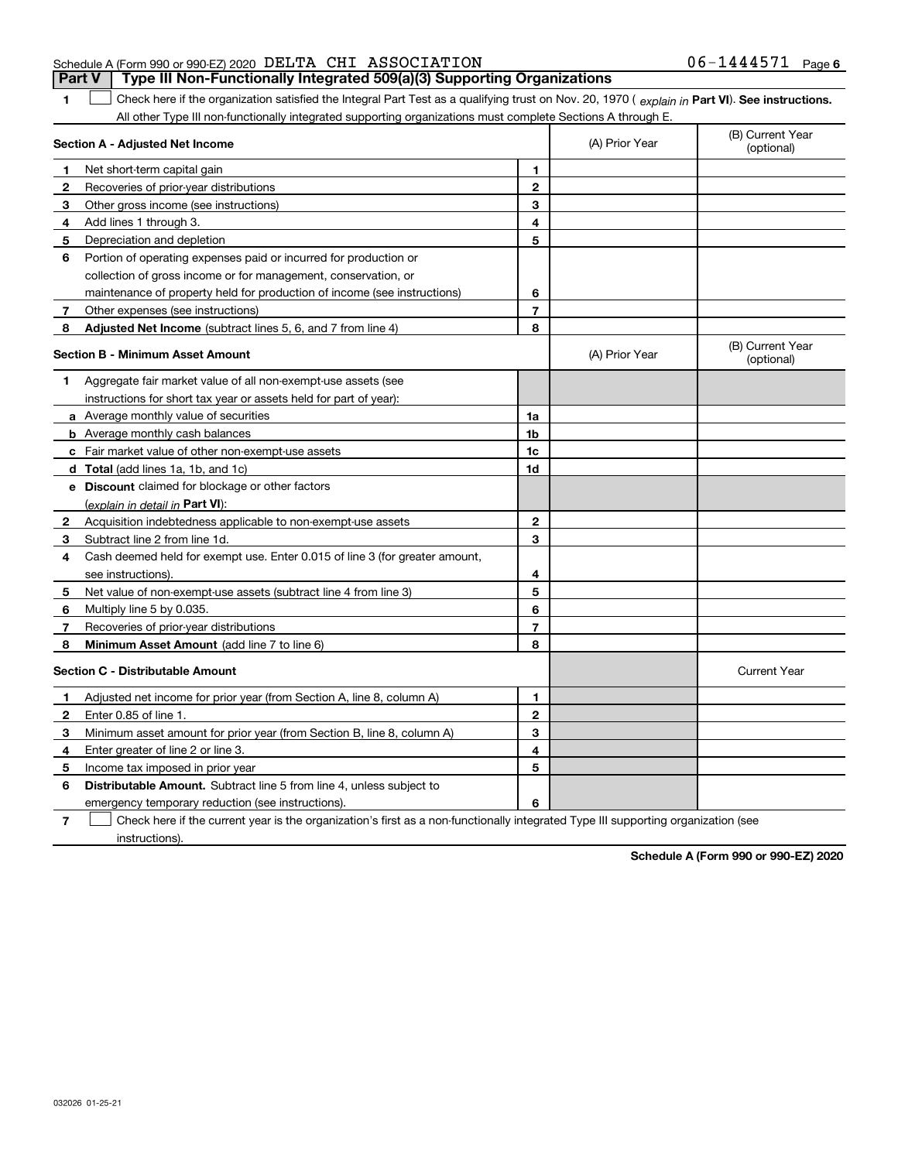#### Schedule A (Form 990 or 990-EZ) 2020 Page DELTA CHI ASSOCIATION 06-1444571**Part V Type III Non-Functionally Integrated 509(a)(3) Supporting Organizations**

1 Check here if the organization satisfied the Integral Part Test as a qualifying trust on Nov. 20, 1970 (explain in Part VI). See instructions. All other Type III non-functionally integrated supporting organizations must complete Sections A through E.

|                | Section A - Adjusted Net Income                                                                                                   |                | (A) Prior Year | (B) Current Year<br>(optional) |
|----------------|-----------------------------------------------------------------------------------------------------------------------------------|----------------|----------------|--------------------------------|
| 1              | Net short-term capital gain                                                                                                       | 1              |                |                                |
| $\mathbf{2}$   | Recoveries of prior-year distributions                                                                                            | $\overline{2}$ |                |                                |
| 3              | Other gross income (see instructions)                                                                                             | 3              |                |                                |
| 4              | Add lines 1 through 3.                                                                                                            | 4              |                |                                |
| 5              | Depreciation and depletion                                                                                                        | 5              |                |                                |
| 6              | Portion of operating expenses paid or incurred for production or                                                                  |                |                |                                |
|                | collection of gross income or for management, conservation, or                                                                    |                |                |                                |
|                | maintenance of property held for production of income (see instructions)                                                          | 6              |                |                                |
| 7              | Other expenses (see instructions)                                                                                                 | $\overline{7}$ |                |                                |
| 8              | Adjusted Net Income (subtract lines 5, 6, and 7 from line 4)                                                                      | 8              |                |                                |
|                | <b>Section B - Minimum Asset Amount</b>                                                                                           |                | (A) Prior Year | (B) Current Year<br>(optional) |
| 1              | Aggregate fair market value of all non-exempt-use assets (see                                                                     |                |                |                                |
|                | instructions for short tax year or assets held for part of year):                                                                 |                |                |                                |
|                | <b>a</b> Average monthly value of securities                                                                                      | 1a             |                |                                |
|                | <b>b</b> Average monthly cash balances                                                                                            | 1b             |                |                                |
|                | c Fair market value of other non-exempt-use assets                                                                                | 1c             |                |                                |
|                | <b>d</b> Total (add lines 1a, 1b, and 1c)                                                                                         | 1d             |                |                                |
|                | <b>e</b> Discount claimed for blockage or other factors                                                                           |                |                |                                |
|                | (explain in detail in <b>Part VI</b> ):                                                                                           |                |                |                                |
| 2              | Acquisition indebtedness applicable to non-exempt-use assets                                                                      | $\mathbf{2}$   |                |                                |
| 3              | Subtract line 2 from line 1d.                                                                                                     | 3              |                |                                |
| 4              | Cash deemed held for exempt use. Enter 0.015 of line 3 (for greater amount,                                                       |                |                |                                |
|                | see instructions).                                                                                                                | 4              |                |                                |
| 5              | Net value of non-exempt-use assets (subtract line 4 from line 3)                                                                  | 5              |                |                                |
| 6              | Multiply line 5 by 0.035.                                                                                                         | 6              |                |                                |
| 7              | Recoveries of prior-year distributions                                                                                            | 7              |                |                                |
| 8              | Minimum Asset Amount (add line 7 to line 6)                                                                                       | 8              |                |                                |
|                | <b>Section C - Distributable Amount</b>                                                                                           |                |                | <b>Current Year</b>            |
| 1              | Adjusted net income for prior year (from Section A, line 8, column A)                                                             | 1              |                |                                |
| $\mathbf{2}$   | Enter 0.85 of line 1.                                                                                                             | $\mathbf{2}$   |                |                                |
| 3              | Minimum asset amount for prior year (from Section B, line 8, column A)                                                            | 3              |                |                                |
| 4              | Enter greater of line 2 or line 3.                                                                                                | 4              |                |                                |
| 5              | Income tax imposed in prior year                                                                                                  | 5              |                |                                |
| 6              | <b>Distributable Amount.</b> Subtract line 5 from line 4, unless subject to                                                       |                |                |                                |
|                | emergency temporary reduction (see instructions).                                                                                 | 6              |                |                                |
| $\overline{7}$ | Check here if the current year is the organization's first as a non-functionally integrated Type III supporting organization (see |                |                |                                |

instructions).

**Schedule A (Form 990 or 990-EZ) 2020**

**1**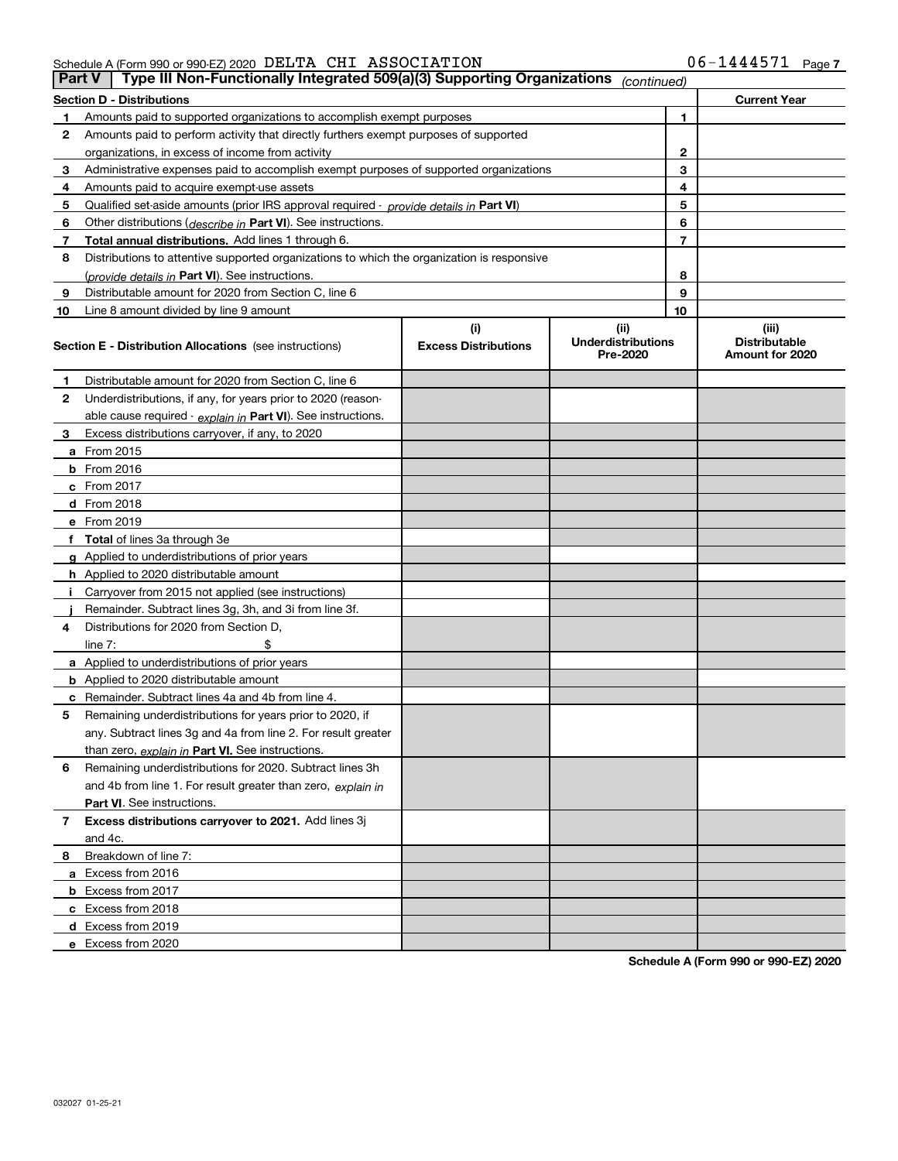#### Schedule A (Form 990 or 990-EZ) 2020 Page DELTA CHI ASSOCIATION 06-1444571

| <b>Part V</b> | Type III Non-Functionally Integrated 509(a)(3) Supporting Organizations                    |                                    | (continued)                                   |    |                                                  |
|---------------|--------------------------------------------------------------------------------------------|------------------------------------|-----------------------------------------------|----|--------------------------------------------------|
|               | <b>Section D - Distributions</b>                                                           |                                    |                                               |    | <b>Current Year</b>                              |
| 1             | Amounts paid to supported organizations to accomplish exempt purposes                      |                                    | 1                                             |    |                                                  |
| 2             | Amounts paid to perform activity that directly furthers exempt purposes of supported       |                                    |                                               |    |                                                  |
|               | organizations, in excess of income from activity                                           |                                    | $\mathbf{2}$                                  |    |                                                  |
| 3             | Administrative expenses paid to accomplish exempt purposes of supported organizations      |                                    | 3                                             |    |                                                  |
| 4             | Amounts paid to acquire exempt-use assets                                                  |                                    |                                               | 4  |                                                  |
| 5             | Qualified set-aside amounts (prior IRS approval required - provide details in Part VI)     |                                    |                                               | 5  |                                                  |
| 6             | Other distributions ( <i>describe in</i> Part VI). See instructions.                       |                                    |                                               | 6  |                                                  |
| 7             | Total annual distributions. Add lines 1 through 6.                                         |                                    |                                               | 7  |                                                  |
| 8             | Distributions to attentive supported organizations to which the organization is responsive |                                    |                                               |    |                                                  |
|               | (provide details in Part VI). See instructions.                                            |                                    |                                               | 8  |                                                  |
| 9             | Distributable amount for 2020 from Section C, line 6                                       |                                    |                                               | 9  |                                                  |
| 10            | Line 8 amount divided by line 9 amount                                                     |                                    |                                               | 10 |                                                  |
|               | <b>Section E - Distribution Allocations</b> (see instructions)                             | (i)<br><b>Excess Distributions</b> | (ii)<br><b>Underdistributions</b><br>Pre-2020 |    | (iii)<br><b>Distributable</b><br>Amount for 2020 |
| 1             | Distributable amount for 2020 from Section C, line 6                                       |                                    |                                               |    |                                                  |
| 2             | Underdistributions, if any, for years prior to 2020 (reason-                               |                                    |                                               |    |                                                  |
|               | able cause required - explain in Part VI). See instructions.                               |                                    |                                               |    |                                                  |
| 3             | Excess distributions carryover, if any, to 2020                                            |                                    |                                               |    |                                                  |
|               | a From 2015                                                                                |                                    |                                               |    |                                                  |
|               | <b>b</b> From 2016                                                                         |                                    |                                               |    |                                                  |
|               | $c$ From 2017                                                                              |                                    |                                               |    |                                                  |
|               | d From 2018                                                                                |                                    |                                               |    |                                                  |
|               | e From 2019                                                                                |                                    |                                               |    |                                                  |
|               | f Total of lines 3a through 3e                                                             |                                    |                                               |    |                                                  |
|               | g Applied to underdistributions of prior years                                             |                                    |                                               |    |                                                  |
|               | <b>h</b> Applied to 2020 distributable amount                                              |                                    |                                               |    |                                                  |
|               | Carryover from 2015 not applied (see instructions)                                         |                                    |                                               |    |                                                  |
|               | Remainder. Subtract lines 3g, 3h, and 3i from line 3f.                                     |                                    |                                               |    |                                                  |
| 4             | Distributions for 2020 from Section D,                                                     |                                    |                                               |    |                                                  |
|               | line $7:$                                                                                  |                                    |                                               |    |                                                  |
|               | a Applied to underdistributions of prior years                                             |                                    |                                               |    |                                                  |
|               | <b>b</b> Applied to 2020 distributable amount                                              |                                    |                                               |    |                                                  |
|               | c Remainder. Subtract lines 4a and 4b from line 4.                                         |                                    |                                               |    |                                                  |
| 5.            | Remaining underdistributions for years prior to 2020, if                                   |                                    |                                               |    |                                                  |
|               | any. Subtract lines 3g and 4a from line 2. For result greater                              |                                    |                                               |    |                                                  |
|               | than zero, explain in Part VI. See instructions.                                           |                                    |                                               |    |                                                  |
| 6             | Remaining underdistributions for 2020. Subtract lines 3h                                   |                                    |                                               |    |                                                  |
|               | and 4b from line 1. For result greater than zero, explain in                               |                                    |                                               |    |                                                  |
|               | Part VI. See instructions.                                                                 |                                    |                                               |    |                                                  |
| 7             | Excess distributions carryover to 2021. Add lines 3j                                       |                                    |                                               |    |                                                  |
|               | and 4c.                                                                                    |                                    |                                               |    |                                                  |
| 8             | Breakdown of line 7:                                                                       |                                    |                                               |    |                                                  |
|               | a Excess from 2016                                                                         |                                    |                                               |    |                                                  |
|               | <b>b</b> Excess from 2017                                                                  |                                    |                                               |    |                                                  |
|               | c Excess from 2018                                                                         |                                    |                                               |    |                                                  |
|               | d Excess from 2019                                                                         |                                    |                                               |    |                                                  |
|               | e Excess from 2020                                                                         |                                    |                                               |    |                                                  |

**Schedule A (Form 990 or 990-EZ) 2020**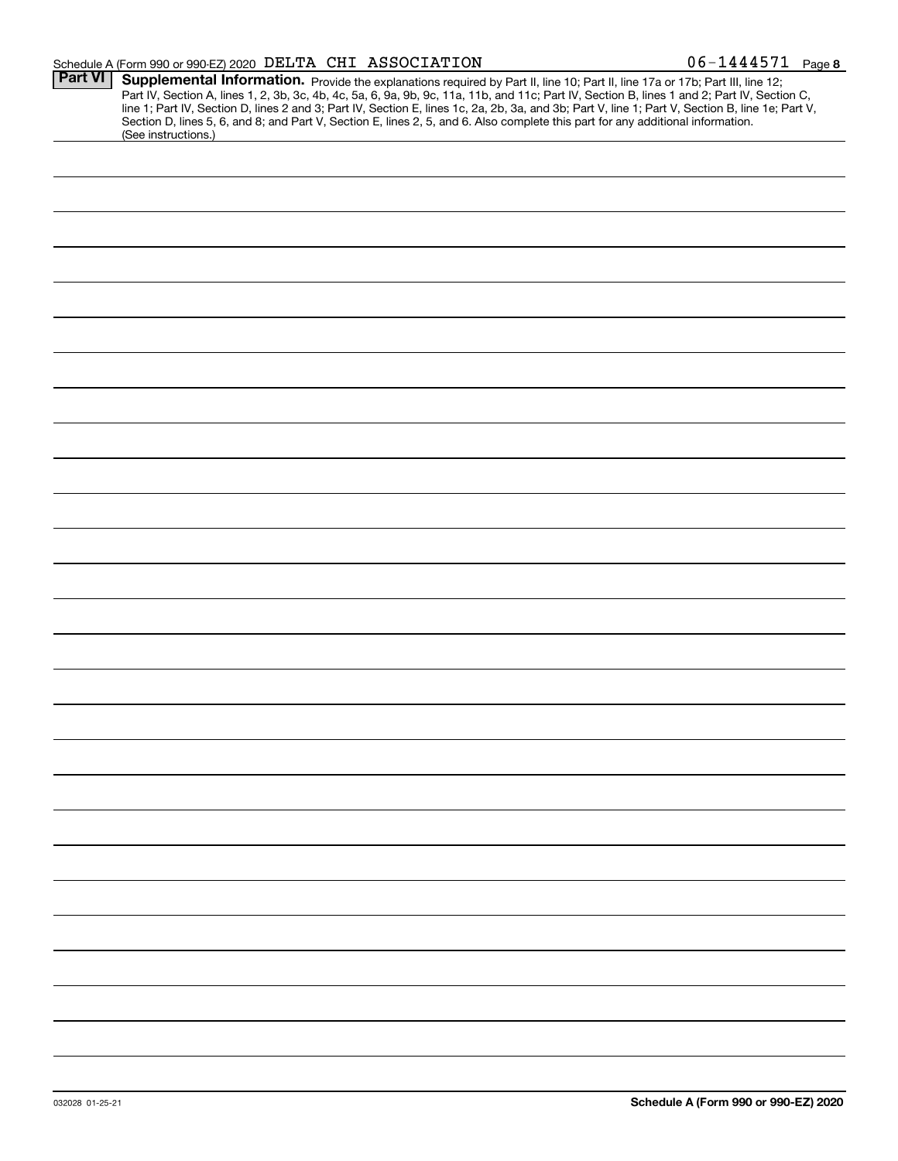| <b>Part VI</b> | Supplemental Information. Provide the explanations required by Part II, line 10; Part II, line 17a or 17b; Part III, line 12;                                                                                                                                                                    |
|----------------|--------------------------------------------------------------------------------------------------------------------------------------------------------------------------------------------------------------------------------------------------------------------------------------------------|
|                | Part IV, Section A, lines 1, 2, 3b, 3c, 4b, 4c, 5a, 6, 9a, 9b, 9c, 11a, 11b, and 11c; Part IV, Section B, lines 1 and 2; Part IV, Section C,<br>line 1; Part IV, Section D, lines 2 and 3; Part IV, Section E, lines 1c, 2a, 2b, 3a, and 3b; Part V, line 1; Part V, Section B, line 1e; Part V, |
|                | Section D, lines 5, 6, and 8; and Part V, Section E, lines 2, 5, and 6. Also complete this part for any additional information.<br>(See instructions.)                                                                                                                                           |
|                |                                                                                                                                                                                                                                                                                                  |
|                |                                                                                                                                                                                                                                                                                                  |
|                |                                                                                                                                                                                                                                                                                                  |
|                |                                                                                                                                                                                                                                                                                                  |
|                |                                                                                                                                                                                                                                                                                                  |
|                |                                                                                                                                                                                                                                                                                                  |
|                |                                                                                                                                                                                                                                                                                                  |
|                |                                                                                                                                                                                                                                                                                                  |
|                |                                                                                                                                                                                                                                                                                                  |
|                |                                                                                                                                                                                                                                                                                                  |
|                |                                                                                                                                                                                                                                                                                                  |
|                |                                                                                                                                                                                                                                                                                                  |
|                |                                                                                                                                                                                                                                                                                                  |
|                |                                                                                                                                                                                                                                                                                                  |
|                |                                                                                                                                                                                                                                                                                                  |
|                |                                                                                                                                                                                                                                                                                                  |
|                |                                                                                                                                                                                                                                                                                                  |
|                |                                                                                                                                                                                                                                                                                                  |
|                |                                                                                                                                                                                                                                                                                                  |
|                |                                                                                                                                                                                                                                                                                                  |
|                |                                                                                                                                                                                                                                                                                                  |
|                |                                                                                                                                                                                                                                                                                                  |
|                |                                                                                                                                                                                                                                                                                                  |
|                |                                                                                                                                                                                                                                                                                                  |
|                |                                                                                                                                                                                                                                                                                                  |
|                |                                                                                                                                                                                                                                                                                                  |
|                |                                                                                                                                                                                                                                                                                                  |
|                |                                                                                                                                                                                                                                                                                                  |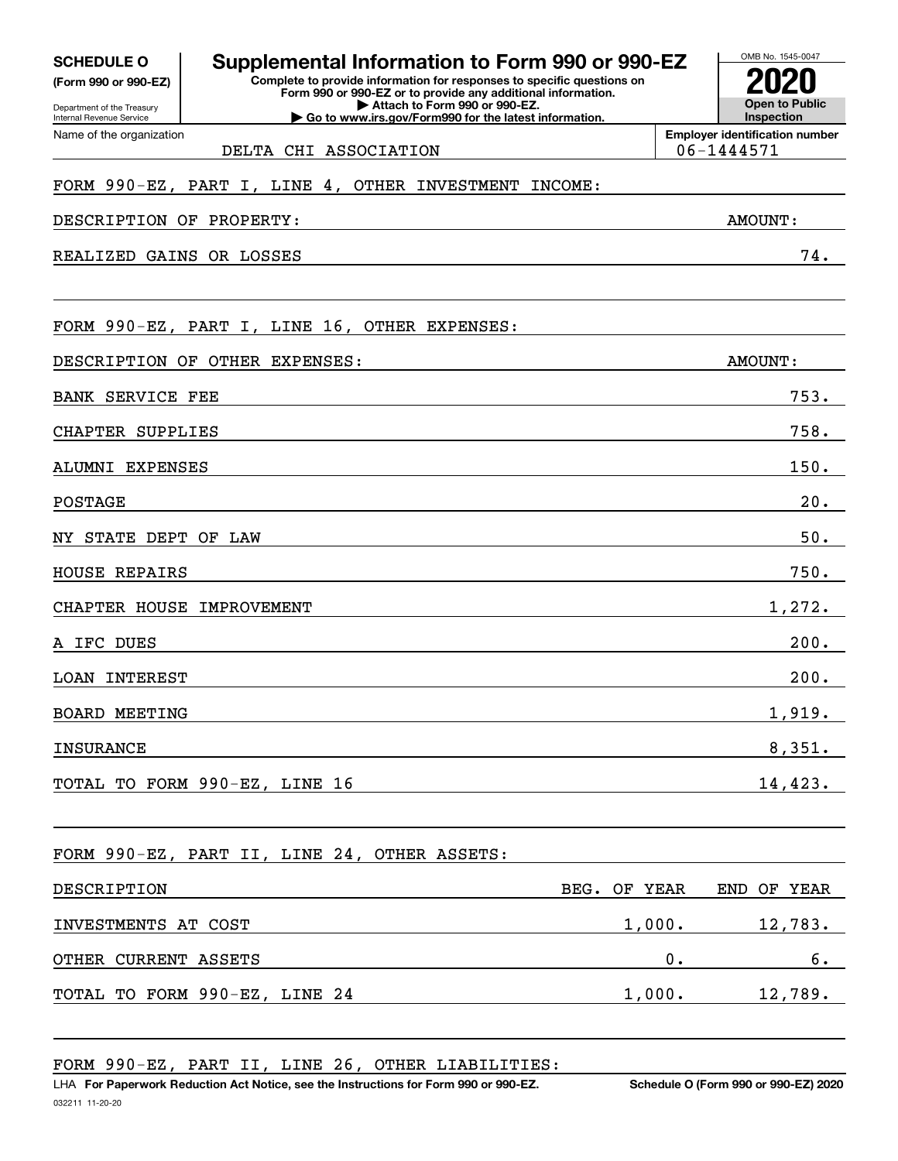|  | <b>SCHEDULE O</b> |  |  |
|--|-------------------|--|--|
|  |                   |  |  |

Department of the Treasury **(Form 990 or 990-EZ)**

Name of the organization

Internal Revenue Service

# **Complete to provide information for responses to specific questions on Supplemental Information to Form 990 or 990-EZ**

**Form 990 or 990-EZ or to provide any additional information. | Attach to Form 990 or 990-EZ. | Go to www.irs.gov/Form990 for the latest information.**

**Open to Public InspectionEmployer identification number 2020**

OMB No. 1545-0047

DELTA CHI ASSOCIATION | 06-1444571

# FORM 990-EZ, PART I, LINE 4, OTHER INVESTMENT INCOME:

DESCRIPTION OF PROPERTY: AMOUNT:

REALIZED GAINS OR LOSSES 74.

| FORM 990-EZ, PART I, LINE 16, OTHER EXPENSES: |                |
|-----------------------------------------------|----------------|
| DESCRIPTION OF OTHER EXPENSES:                | <b>AMOUNT:</b> |
| <b>BANK SERVICE FEE</b>                       | 753.           |
| CHAPTER SUPPLIES                              | 758.           |
| ALUMNI EXPENSES                               | 150.           |
| <b>POSTAGE</b>                                | 20.            |
| NY STATE DEPT OF LAW                          | 50.            |
| HOUSE REPAIRS                                 | 750.           |
| CHAPTER HOUSE IMPROVEMENT                     | 1,272.         |
| A IFC DUES                                    | 200.           |
| <b>LOAN INTEREST</b>                          | 200.           |
| <b>BOARD MEETING</b>                          | 1,919.         |
| <b>INSURANCE</b>                              | 8,351.         |
| TOTAL TO FORM 990-EZ, LINE 16                 | 14,423.        |

| FORM 990-EZ, PART II, LINE 24, OTHER ASSETS: |                    |             |
|----------------------------------------------|--------------------|-------------|
| DESCRIPTION                                  | OF YEAR<br>$BEG$ . | END OF YEAR |
| INVESTMENTS AT COST                          | 1,000.             | 12,783.     |
| OTHER CURRENT ASSETS                         | 0.                 | 6.          |
| TOTAL TO FORM 990-EZ, LINE 24                | 1,000.             | 12,789.     |

FORM 990-EZ, PART II, LINE 26, OTHER LIABILITIES: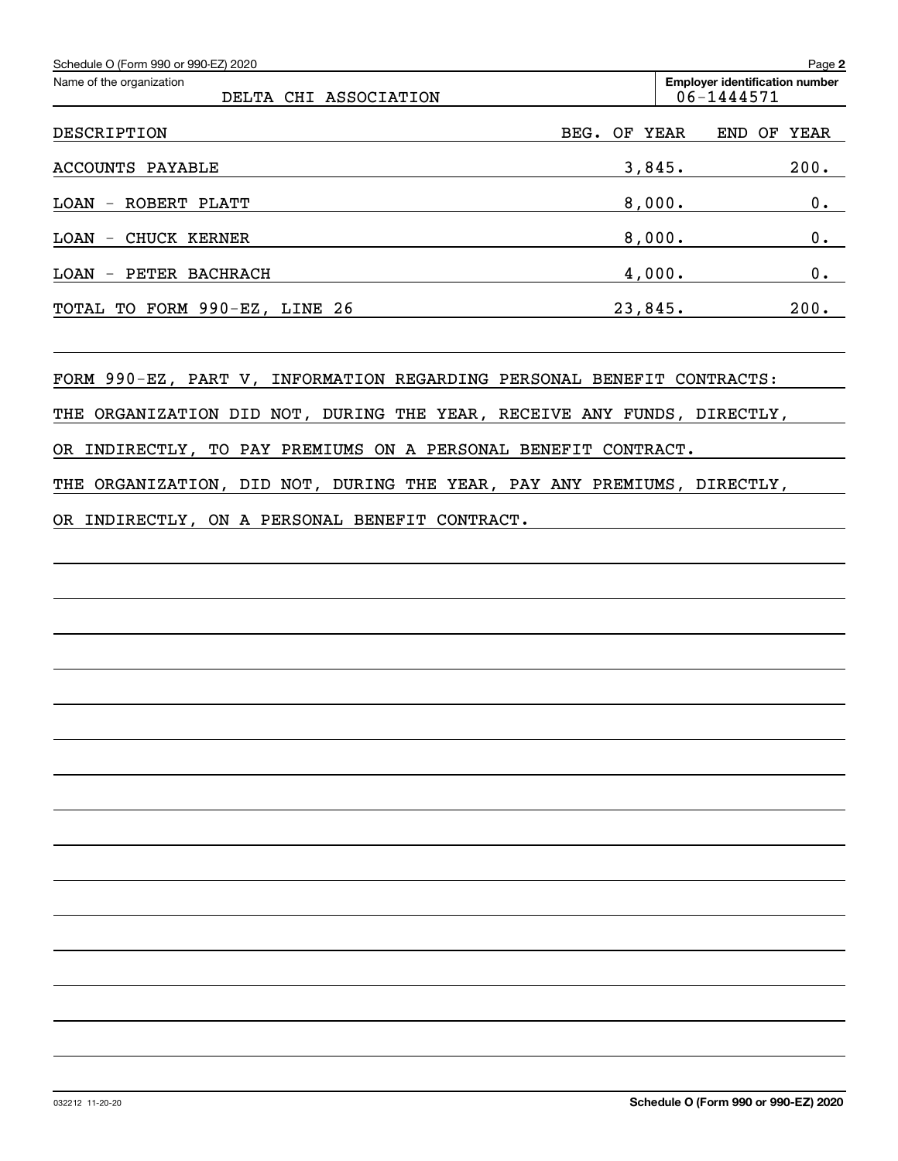| Schedule O (Form 990 or 990-EZ) 2020              |            | Page 2                                              |
|---------------------------------------------------|------------|-----------------------------------------------------|
| Name of the organization<br>DELTA CHI ASSOCIATION |            | <b>Employer identification number</b><br>06-1444571 |
| DESCRIPTION                                       | BEG.<br>OF | YEAR<br>YEAR<br>END<br>ОF                           |
| ACCOUNTS PAYABLE                                  | 3,845.     | 200.                                                |
| ROBERT PLATT<br>LOAN<br>$\overline{\phantom{m}}$  | 8,000.     | 0.                                                  |
| LOAN<br>CHUCK KERNER<br>$\overline{\phantom{m}}$  | 8,000.     | 0.                                                  |
| PETER<br><b>BACHRACH</b><br>LOAN                  | 4,000.     | 0.                                                  |
| TOTAL TO FORM 990-EZ, LINE 26                     | 23,845.    | 200.                                                |
|                                                   |            |                                                     |

FORM 990-EZ, PART V, INFORMATION REGARDING PERSONAL BENEFIT CONTRACTS:

THE ORGANIZATION DID NOT, DURING THE YEAR, RECEIVE ANY FUNDS, DIRECTLY,

OR INDIRECTLY, TO PAY PREMIUMS ON A PERSONAL BENEFIT CONTRACT.

THE ORGANIZATION, DID NOT, DURING THE YEAR, PAY ANY PREMIUMS, DIRECTLY,

OR INDIRECTLY, ON A PERSONAL BENEFIT CONTRACT.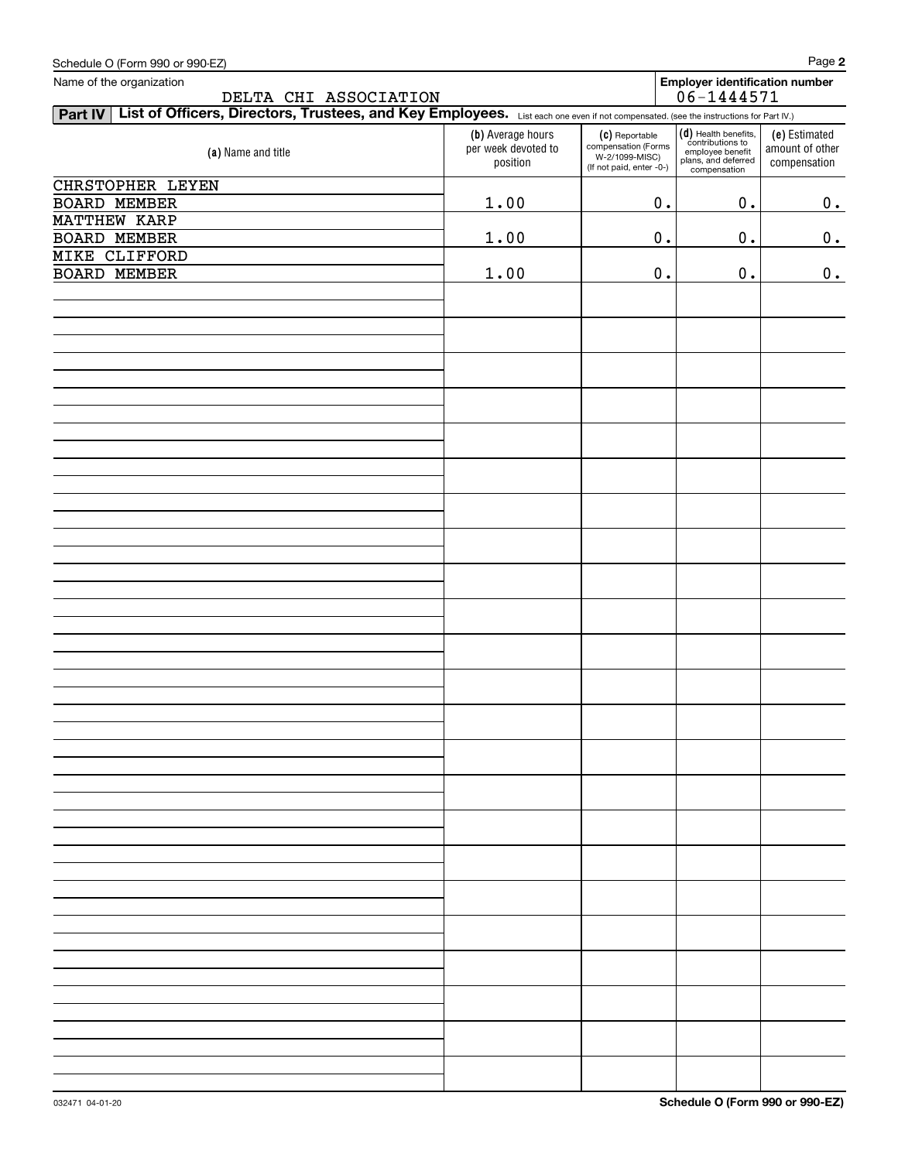| Name of the organization<br>DELTA CHI ASSOCIATION                                                                                               |                                                      |                                                                                     | <b>Employer identification number</b><br>$06 - 1444571$                                             |                                                  |
|-------------------------------------------------------------------------------------------------------------------------------------------------|------------------------------------------------------|-------------------------------------------------------------------------------------|-----------------------------------------------------------------------------------------------------|--------------------------------------------------|
| List of Officers, Directors, Trustees, and Key Employees. List each one even if not compensated. (see the instructions for Part IV.)<br>Part IV |                                                      |                                                                                     |                                                                                                     |                                                  |
| (a) Name and title                                                                                                                              | (b) Average hours<br>per week devoted to<br>position | (C) Reportable<br>compensation (Forms<br>W-2/1099-MISC)<br>(If not paid, enter -0-) | (d) Health benefits,<br>contributions to<br>employee benefit<br>plans, and deferred<br>compensation | (e) Estimated<br>amount of other<br>compensation |
| CHRSTOPHER LEYEN                                                                                                                                |                                                      |                                                                                     |                                                                                                     |                                                  |
| <b>BOARD MEMBER</b>                                                                                                                             | 1.00                                                 |                                                                                     | $0$ .<br>$0$ .                                                                                      | $\mathbf 0$ .                                    |
| <b>MATTHEW KARP</b>                                                                                                                             |                                                      |                                                                                     |                                                                                                     |                                                  |
| <b>BOARD MEMBER</b>                                                                                                                             | 1.00                                                 |                                                                                     | $0$ .<br>$0$ .                                                                                      | $\mathbf 0$ .                                    |
| MIKE CLIFFORD                                                                                                                                   |                                                      |                                                                                     |                                                                                                     |                                                  |
| <b>BOARD MEMBER</b>                                                                                                                             | 1.00                                                 |                                                                                     | $0$ .<br>$0$ .                                                                                      | $\mathbf 0$ .                                    |
|                                                                                                                                                 |                                                      |                                                                                     |                                                                                                     |                                                  |
|                                                                                                                                                 |                                                      |                                                                                     |                                                                                                     |                                                  |
|                                                                                                                                                 |                                                      |                                                                                     |                                                                                                     |                                                  |
|                                                                                                                                                 |                                                      |                                                                                     |                                                                                                     |                                                  |
|                                                                                                                                                 |                                                      |                                                                                     |                                                                                                     |                                                  |
|                                                                                                                                                 |                                                      |                                                                                     |                                                                                                     |                                                  |
|                                                                                                                                                 |                                                      |                                                                                     |                                                                                                     |                                                  |
|                                                                                                                                                 |                                                      |                                                                                     |                                                                                                     |                                                  |
|                                                                                                                                                 |                                                      |                                                                                     |                                                                                                     |                                                  |
|                                                                                                                                                 |                                                      |                                                                                     |                                                                                                     |                                                  |
|                                                                                                                                                 |                                                      |                                                                                     |                                                                                                     |                                                  |
|                                                                                                                                                 |                                                      |                                                                                     |                                                                                                     |                                                  |
|                                                                                                                                                 |                                                      |                                                                                     |                                                                                                     |                                                  |
|                                                                                                                                                 |                                                      |                                                                                     |                                                                                                     |                                                  |
|                                                                                                                                                 |                                                      |                                                                                     |                                                                                                     |                                                  |
|                                                                                                                                                 |                                                      |                                                                                     |                                                                                                     |                                                  |
|                                                                                                                                                 |                                                      |                                                                                     |                                                                                                     |                                                  |
|                                                                                                                                                 |                                                      |                                                                                     |                                                                                                     |                                                  |
|                                                                                                                                                 |                                                      |                                                                                     |                                                                                                     |                                                  |
|                                                                                                                                                 |                                                      |                                                                                     |                                                                                                     |                                                  |
|                                                                                                                                                 |                                                      |                                                                                     |                                                                                                     |                                                  |
|                                                                                                                                                 |                                                      |                                                                                     |                                                                                                     |                                                  |
|                                                                                                                                                 |                                                      |                                                                                     |                                                                                                     |                                                  |
|                                                                                                                                                 |                                                      |                                                                                     |                                                                                                     |                                                  |

# Schedule O (Form 990 or 990-EZ)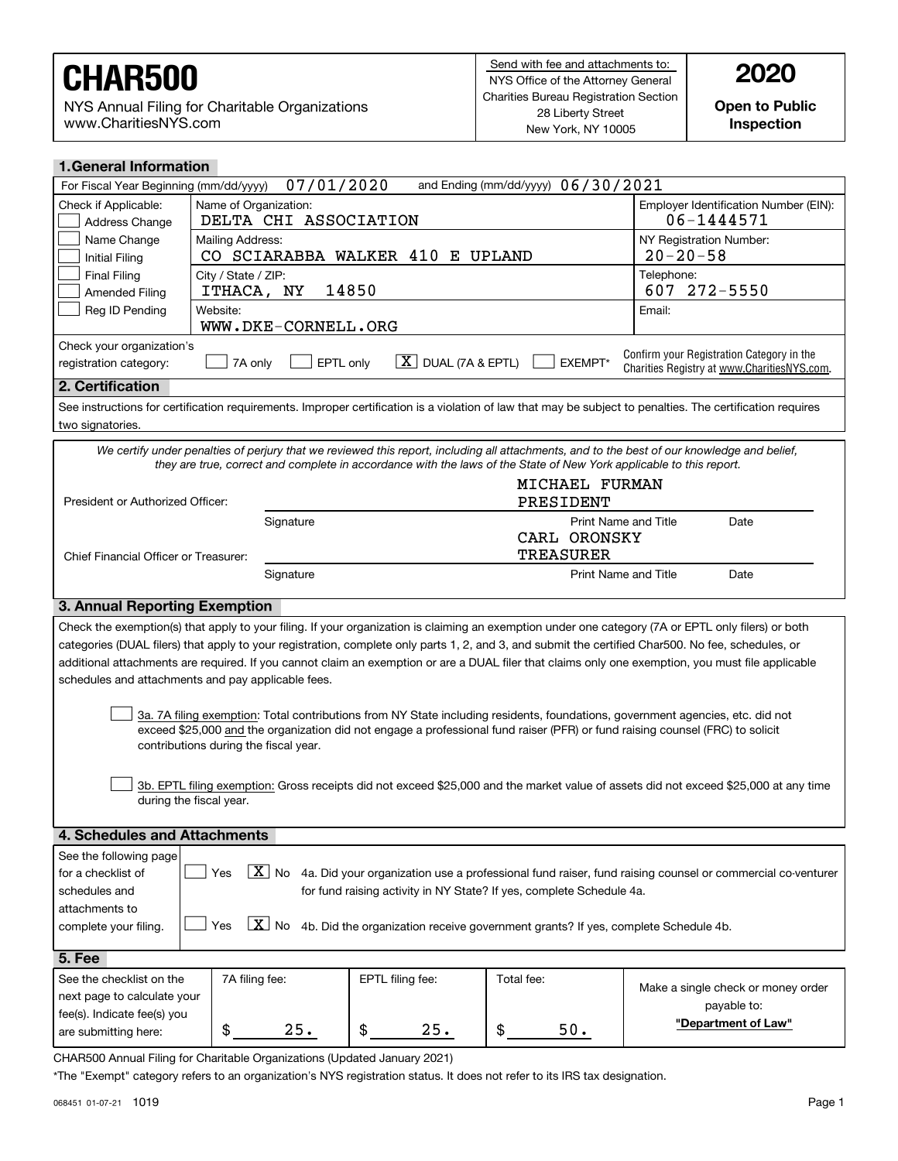NYS Annual Filing for Charitable Organizations www.CharitiesNYS.com

**Open to Public Inspection**

| <b>1. General Information</b>                                                                                                                                                                                                                                      |                                                                                                                                                                                                                                                                                                           |                                                     |                                      |                                    |  |  |
|--------------------------------------------------------------------------------------------------------------------------------------------------------------------------------------------------------------------------------------------------------------------|-----------------------------------------------------------------------------------------------------------------------------------------------------------------------------------------------------------------------------------------------------------------------------------------------------------|-----------------------------------------------------|--------------------------------------|------------------------------------|--|--|
| For Fiscal Year Beginning (mm/dd/yyyy)                                                                                                                                                                                                                             | 07/01/2020                                                                                                                                                                                                                                                                                                |                                                     | and Ending (mm/dd/yyyy) $06/30/2021$ |                                    |  |  |
| Check if Applicable:<br>Address Change                                                                                                                                                                                                                             | Name of Organization:<br>DELTA CHI ASSOCIATION                                                                                                                                                                                                                                                            | Employer Identification Number (EIN):<br>06-1444571 |                                      |                                    |  |  |
| Name Change<br><b>Initial Filing</b>                                                                                                                                                                                                                               | Mailing Address:<br>CO SCIARABBA WALKER 410 E UPLAND                                                                                                                                                                                                                                                      | NY Registration Number:<br>$20 - 20 - 58$           |                                      |                                    |  |  |
| <b>Final Filing</b><br><b>Amended Filing</b>                                                                                                                                                                                                                       | City / State / ZIP:<br>14850<br>ITHACA, NY                                                                                                                                                                                                                                                                |                                                     |                                      | Telephone:<br>$272 - 5550$<br>607  |  |  |
| Reg ID Pending                                                                                                                                                                                                                                                     | Website:<br>WWW.DKE-CORNELL.ORG                                                                                                                                                                                                                                                                           |                                                     |                                      | Email:                             |  |  |
| Check your organization's<br>Confirm your Registration Category in the<br>$\boxed{\textbf{X}}$ DUAL (7A & EPTL)<br>EPTL only<br>EXEMPT*<br>registration category:<br>7A only<br>Charities Registry at www.CharitiesNYS.com.                                        |                                                                                                                                                                                                                                                                                                           |                                                     |                                      |                                    |  |  |
| 2. Certification                                                                                                                                                                                                                                                   |                                                                                                                                                                                                                                                                                                           |                                                     |                                      |                                    |  |  |
| See instructions for certification requirements. Improper certification is a violation of law that may be subject to penalties. The certification requires<br>two signatories.                                                                                     |                                                                                                                                                                                                                                                                                                           |                                                     |                                      |                                    |  |  |
| We certify under penalties of perjury that we reviewed this report, including all attachments, and to the best of our knowledge and belief,<br>they are true, correct and complete in accordance with the laws of the State of New York applicable to this report. |                                                                                                                                                                                                                                                                                                           |                                                     |                                      |                                    |  |  |
|                                                                                                                                                                                                                                                                    |                                                                                                                                                                                                                                                                                                           |                                                     | <b>MICHAEL FURMAN</b>                |                                    |  |  |
| President or Authorized Officer:                                                                                                                                                                                                                                   |                                                                                                                                                                                                                                                                                                           |                                                     | PRESIDENT                            |                                    |  |  |
|                                                                                                                                                                                                                                                                    | Signature                                                                                                                                                                                                                                                                                                 |                                                     | <b>Print Name and Title</b>          | Date                               |  |  |
| CARL ORONSKY                                                                                                                                                                                                                                                       |                                                                                                                                                                                                                                                                                                           |                                                     |                                      |                                    |  |  |
| Chief Financial Officer or Treasurer:                                                                                                                                                                                                                              |                                                                                                                                                                                                                                                                                                           |                                                     | <b>TREASURER</b>                     |                                    |  |  |
|                                                                                                                                                                                                                                                                    | Signature                                                                                                                                                                                                                                                                                                 |                                                     | Print Name and Title                 | Date                               |  |  |
| 3. Annual Reporting Exemption                                                                                                                                                                                                                                      |                                                                                                                                                                                                                                                                                                           |                                                     |                                      |                                    |  |  |
|                                                                                                                                                                                                                                                                    |                                                                                                                                                                                                                                                                                                           |                                                     |                                      |                                    |  |  |
|                                                                                                                                                                                                                                                                    | Check the exemption(s) that apply to your filing. If your organization is claiming an exemption under one category (7A or EPTL only filers) or both<br>categories (DUAL filers) that apply to your registration, complete only parts 1, 2, and 3, and submit the certified Char500. No fee, schedules, or |                                                     |                                      |                                    |  |  |
| additional attachments are required. If you cannot claim an exemption or are a DUAL filer that claims only one exemption, you must file applicable                                                                                                                 |                                                                                                                                                                                                                                                                                                           |                                                     |                                      |                                    |  |  |
| schedules and attachments and pay applicable fees.                                                                                                                                                                                                                 |                                                                                                                                                                                                                                                                                                           |                                                     |                                      |                                    |  |  |
|                                                                                                                                                                                                                                                                    |                                                                                                                                                                                                                                                                                                           |                                                     |                                      |                                    |  |  |
| 3a. 7A filing exemption: Total contributions from NY State including residents, foundations, government agencies, etc. did not                                                                                                                                     |                                                                                                                                                                                                                                                                                                           |                                                     |                                      |                                    |  |  |
| exceed \$25,000 and the organization did not engage a professional fund raiser (PFR) or fund raising counsel (FRC) to solicit                                                                                                                                      |                                                                                                                                                                                                                                                                                                           |                                                     |                                      |                                    |  |  |
| contributions during the fiscal year.                                                                                                                                                                                                                              |                                                                                                                                                                                                                                                                                                           |                                                     |                                      |                                    |  |  |
|                                                                                                                                                                                                                                                                    |                                                                                                                                                                                                                                                                                                           |                                                     |                                      |                                    |  |  |
| 3b. EPTL filing exemption: Gross receipts did not exceed \$25,000 and the market value of assets did not exceed \$25,000 at any time<br>during the fiscal year.                                                                                                    |                                                                                                                                                                                                                                                                                                           |                                                     |                                      |                                    |  |  |
|                                                                                                                                                                                                                                                                    |                                                                                                                                                                                                                                                                                                           |                                                     |                                      |                                    |  |  |
| 4. Schedules and Attachments                                                                                                                                                                                                                                       |                                                                                                                                                                                                                                                                                                           |                                                     |                                      |                                    |  |  |
| See the following page                                                                                                                                                                                                                                             |                                                                                                                                                                                                                                                                                                           |                                                     |                                      |                                    |  |  |
| $X_{\text{No}}$<br>4a. Did your organization use a professional fund raiser, fund raising counsel or commercial co-venturer<br>Yes<br>for a checklist of                                                                                                           |                                                                                                                                                                                                                                                                                                           |                                                     |                                      |                                    |  |  |
| for fund raising activity in NY State? If yes, complete Schedule 4a.<br>schedules and                                                                                                                                                                              |                                                                                                                                                                                                                                                                                                           |                                                     |                                      |                                    |  |  |
| attachments to                                                                                                                                                                                                                                                     |                                                                                                                                                                                                                                                                                                           |                                                     |                                      |                                    |  |  |
| $ X $ No<br>4b. Did the organization receive government grants? If yes, complete Schedule 4b.<br>Yes<br>complete your filing.                                                                                                                                      |                                                                                                                                                                                                                                                                                                           |                                                     |                                      |                                    |  |  |
| <b>5. Fee</b>                                                                                                                                                                                                                                                      |                                                                                                                                                                                                                                                                                                           |                                                     |                                      |                                    |  |  |
| See the checklist on the                                                                                                                                                                                                                                           | 7A filing fee:                                                                                                                                                                                                                                                                                            | EPTL filing fee:                                    | Total fee:                           | Make a single check or money order |  |  |
| next page to calculate your                                                                                                                                                                                                                                        |                                                                                                                                                                                                                                                                                                           |                                                     |                                      | payable to:                        |  |  |
| fee(s). Indicate fee(s) you                                                                                                                                                                                                                                        |                                                                                                                                                                                                                                                                                                           |                                                     |                                      | "Department of Law"                |  |  |
| are submitting here:                                                                                                                                                                                                                                               | 25.<br>\$                                                                                                                                                                                                                                                                                                 | \$<br>25.                                           | \$<br>50.                            |                                    |  |  |
|                                                                                                                                                                                                                                                                    |                                                                                                                                                                                                                                                                                                           |                                                     |                                      |                                    |  |  |

CHAR500 Annual Filing for Charitable Organizations (Updated January 2021)

\*The "Exempt" category refers to an organization's NYS registration status. It does not refer to its IRS tax designation.